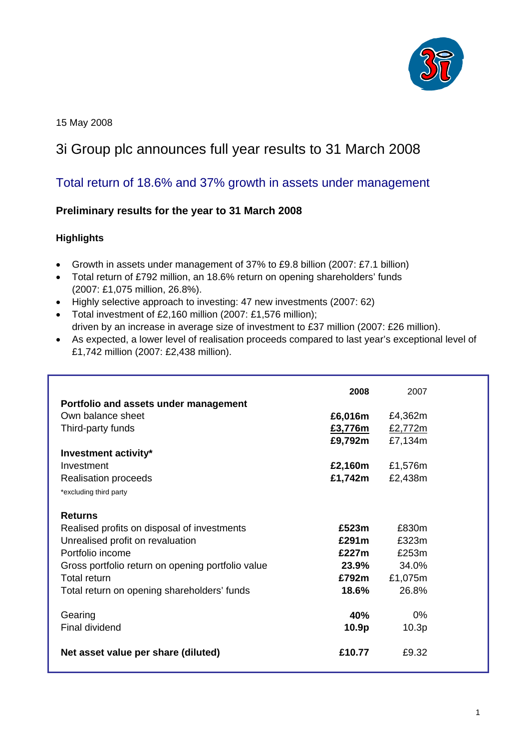

15 May 2008

# 3i Group plc announces full year results to 31 March 2008

# Total return of 18.6% and 37% growth in assets under management

## **Preliminary results for the year to 31 March 2008**

#### **Highlights**

- Growth in assets under management of 37% to £9.8 billion (2007: £7.1 billion)
- Total return of £792 million, an 18.6% return on opening shareholders' funds (2007: £1,075 million, 26.8%).
- Highly selective approach to investing: 47 new investments (2007: 62)
- Total investment of £2,160 million (2007: £1,576 million); driven by an increase in average size of investment to £37 million (2007: £26 million).
- As expected, a lower level of realisation proceeds compared to last year's exceptional level of £1,742 million (2007: £2,438 million).

| Portfolio and assets under management                                                                                                                                                                                                     | 2008                                                  | 2007                                                 |
|-------------------------------------------------------------------------------------------------------------------------------------------------------------------------------------------------------------------------------------------|-------------------------------------------------------|------------------------------------------------------|
| Own balance sheet                                                                                                                                                                                                                         | £6,016m                                               | £4,362m                                              |
| Third-party funds                                                                                                                                                                                                                         | £3,776m                                               | £2,772m                                              |
|                                                                                                                                                                                                                                           | £9,792m                                               | £7,134m                                              |
| Investment activity*                                                                                                                                                                                                                      |                                                       |                                                      |
| Investment                                                                                                                                                                                                                                | £2,160m                                               | £1,576m                                              |
| <b>Realisation proceeds</b>                                                                                                                                                                                                               | £1,742m                                               | £2,438m                                              |
| *excluding third party                                                                                                                                                                                                                    |                                                       |                                                      |
| <b>Returns</b><br>Realised profits on disposal of investments<br>Unrealised profit on revaluation<br>Portfolio income<br>Gross portfolio return on opening portfolio value<br>Total return<br>Total return on opening shareholders' funds | £523 $m$<br>£291m<br>£227m<br>23.9%<br>£792m<br>18.6% | £830m<br>£323m<br>£253m<br>34.0%<br>£1,075m<br>26.8% |
| Gearing                                                                                                                                                                                                                                   | 40%                                                   | $0\%$                                                |
| Final dividend                                                                                                                                                                                                                            | 10.9p                                                 | 10.3 <sub>p</sub>                                    |
| Net asset value per share (diluted)                                                                                                                                                                                                       | £10.77                                                | £9.32                                                |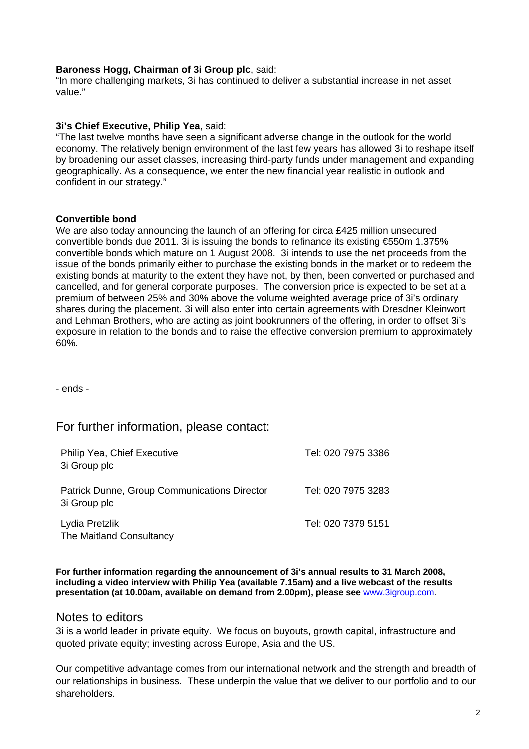#### **Baroness Hogg, Chairman of 3i Group plc**, said:

"In more challenging markets, 3i has continued to deliver a substantial increase in net asset value."

#### **3i's Chief Executive, Philip Yea**, said:

"The last twelve months have seen a significant adverse change in the outlook for the world economy. The relatively benign environment of the last few years has allowed 3i to reshape itself by broadening our asset classes, increasing third-party funds under management and expanding geographically. As a consequence, we enter the new financial year realistic in outlook and confident in our strategy."

#### **Convertible bond**

We are also today announcing the launch of an offering for circa £425 million unsecured convertible bonds due 2011. 3i is issuing the bonds to refinance its existing €550m 1.375% convertible bonds which mature on 1 August 2008. 3i intends to use the net proceeds from the issue of the bonds primarily either to purchase the existing bonds in the market or to redeem the existing bonds at maturity to the extent they have not, by then, been converted or purchased and cancelled, and for general corporate purposes. The conversion price is expected to be set at a premium of between 25% and 30% above the volume weighted average price of 3i's ordinary shares during the placement. 3i will also enter into certain agreements with Dresdner Kleinwort and Lehman Brothers, who are acting as joint bookrunners of the offering, in order to offset 3i's exposure in relation to the bonds and to raise the effective conversion premium to approximately 60%.

- ends -

# For further information, please contact:

| <b>Philip Yea, Chief Executive</b><br>3i Group plc           | Tel: 020 7975 3386 |
|--------------------------------------------------------------|--------------------|
| Patrick Dunne, Group Communications Director<br>3i Group plc | Tel: 020 7975 3283 |
| Lydia Pretzlik<br>The Maitland Consultancy                   | Tel: 020 7379 5151 |

**For further information regarding the announcement of 3i's annual results to 31 March 2008, including a video interview with Philip Yea (available 7.15am) and a live webcast of the results presentation (at 10.00am, available on demand from 2.00pm), please see** www.3igroup.com.

#### Notes to editors

3i is a world leader in private equity. We focus on buyouts, growth capital, infrastructure and quoted private equity; investing across Europe, Asia and the US.

Our competitive advantage comes from our international network and the strength and breadth of our relationships in business. These underpin the value that we deliver to our portfolio and to our shareholders.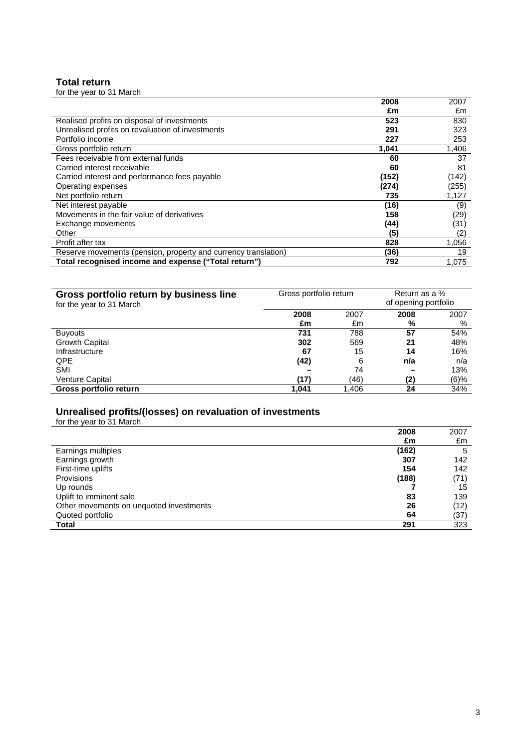#### **Total return**

| for the year to 31 March                                       |       |       |
|----------------------------------------------------------------|-------|-------|
|                                                                | 2008  | 2007  |
|                                                                | £m    | £m    |
| Realised profits on disposal of investments                    | 523   | 830   |
| Unrealised profits on revaluation of investments               | 291   | 323   |
| Portfolio income                                               | 227   | 253   |
| Gross portfolio return                                         | 1,041 | 1,406 |
| Fees receivable from external funds                            | 60    | 37    |
| Carried interest receivable                                    | 60    | 81    |
| Carried interest and performance fees payable                  | (152) | (142) |
| Operating expenses                                             | (274) | (255) |
| Net portfolio return                                           | 735   | 1,127 |
| Net interest payable                                           | (16)  | (9)   |
| Movements in the fair value of derivatives                     | 158   | (29)  |
| Exchange movements                                             | (44)  | (31)  |
| Other                                                          | (5    | (2)   |
| Profit after tax                                               | 828   | 1,056 |
| Reserve movements (pension, property and currency translation) | (36)  | 19    |
| Total recognised income and expense ("Total return")           | 792   | 1.075 |

| Gross portfolio return by business line | Gross portfolio return |       | Return as a %        |         |
|-----------------------------------------|------------------------|-------|----------------------|---------|
| for the year to 31 March                |                        |       | of opening portfolio |         |
|                                         | 2008                   | 2007  | 2008                 | 2007    |
|                                         | £m                     | £m    | %                    | %       |
| <b>Buyouts</b>                          | 731                    | 788   | 57                   | 54%     |
| Growth Capital                          | 302                    | 569   | 21                   | 48%     |
| Infrastructure                          | 67                     | 15    | 14                   | 16%     |
| <b>QPE</b>                              | (42)                   | 6     | n/a                  | n/a     |
| <b>SMI</b>                              |                        | 74    |                      | 13%     |
| Venture Capital                         | (17)                   | (46)  | (2)                  | $(6)\%$ |
| Gross portfolio return                  | 1,041                  | 1,406 | 24                   | 34%     |

#### **Unrealised profits/(losses) on revaluation of investments**

for the year to 31 March

|                                         | 2008  | 2007 |
|-----------------------------------------|-------|------|
|                                         | £m    | £m   |
| Earnings multiples                      | (162) | 5    |
| Earnings growth                         | 307   | 142  |
| First-time uplifts                      | 154   | 142  |
| <b>Provisions</b>                       | (188) | (71) |
| Up rounds                               |       | 15   |
| Uplift to imminent sale                 | 83    | 139  |
| Other movements on unquoted investments | 26    | (12) |
| Quoted portfolio                        | 64    | (37) |
| <b>Total</b>                            | 291   | 323  |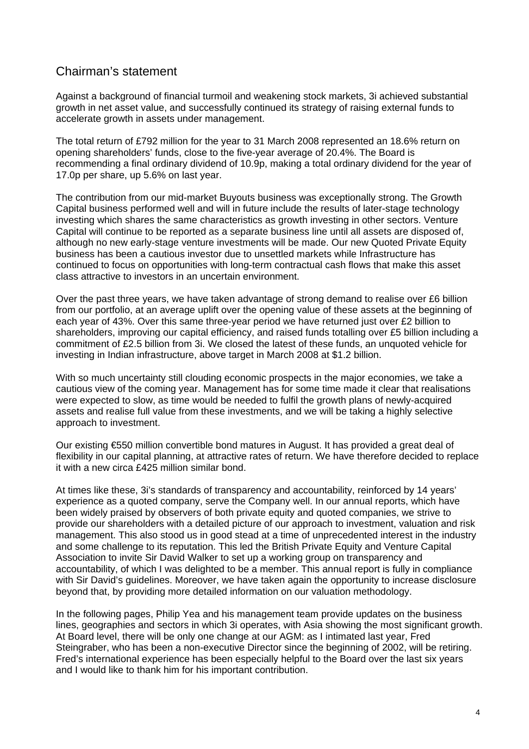# Chairman's statement

Against a background of financial turmoil and weakening stock markets, 3i achieved substantial growth in net asset value, and successfully continued its strategy of raising external funds to accelerate growth in assets under management.

The total return of £792 million for the year to 31 March 2008 represented an 18.6% return on opening shareholders' funds, close to the five-year average of 20.4%. The Board is recommending a final ordinary dividend of 10.9p, making a total ordinary dividend for the year of 17.0p per share, up 5.6% on last year.

The contribution from our mid-market Buyouts business was exceptionally strong. The Growth Capital business performed well and will in future include the results of later-stage technology investing which shares the same characteristics as growth investing in other sectors. Venture Capital will continue to be reported as a separate business line until all assets are disposed of, although no new early-stage venture investments will be made. Our new Quoted Private Equity business has been a cautious investor due to unsettled markets while Infrastructure has continued to focus on opportunities with long-term contractual cash flows that make this asset class attractive to investors in an uncertain environment.

Over the past three years, we have taken advantage of strong demand to realise over £6 billion from our portfolio, at an average uplift over the opening value of these assets at the beginning of each year of 43%. Over this same three-year period we have returned just over £2 billion to shareholders, improving our capital efficiency, and raised funds totalling over £5 billion including a commitment of £2.5 billion from 3i. We closed the latest of these funds, an unquoted vehicle for investing in Indian infrastructure, above target in March 2008 at \$1.2 billion.

With so much uncertainty still clouding economic prospects in the major economies, we take a cautious view of the coming year. Management has for some time made it clear that realisations were expected to slow, as time would be needed to fulfil the growth plans of newly-acquired assets and realise full value from these investments, and we will be taking a highly selective approach to investment.

Our existing €550 million convertible bond matures in August. It has provided a great deal of flexibility in our capital planning, at attractive rates of return. We have therefore decided to replace it with a new circa £425 million similar bond.

At times like these, 3i's standards of transparency and accountability, reinforced by 14 years' experience as a quoted company, serve the Company well. In our annual reports, which have been widely praised by observers of both private equity and quoted companies, we strive to provide our shareholders with a detailed picture of our approach to investment, valuation and risk management. This also stood us in good stead at a time of unprecedented interest in the industry and some challenge to its reputation. This led the British Private Equity and Venture Capital Association to invite Sir David Walker to set up a working group on transparency and accountability, of which I was delighted to be a member. This annual report is fully in compliance with Sir David's guidelines. Moreover, we have taken again the opportunity to increase disclosure beyond that, by providing more detailed information on our valuation methodology.

In the following pages, Philip Yea and his management team provide updates on the business lines, geographies and sectors in which 3i operates, with Asia showing the most significant growth. At Board level, there will be only one change at our AGM: as I intimated last year, Fred Steingraber, who has been a non-executive Director since the beginning of 2002, will be retiring. Fred's international experience has been especially helpful to the Board over the last six years and I would like to thank him for his important contribution.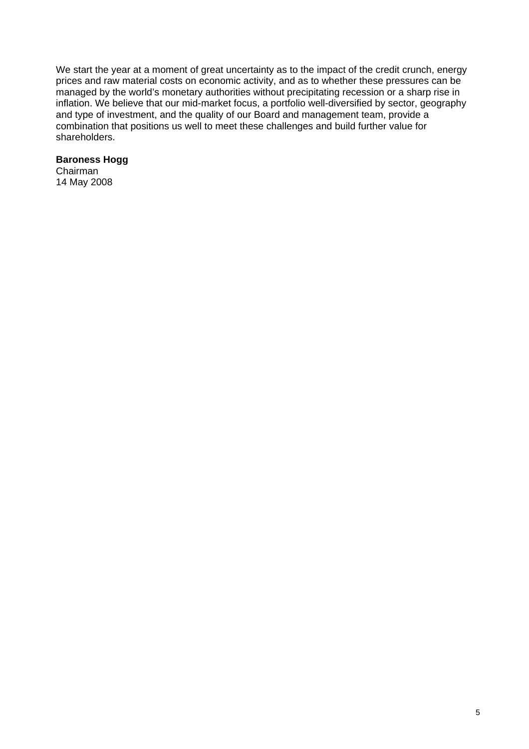We start the year at a moment of great uncertainty as to the impact of the credit crunch, energy prices and raw material costs on economic activity, and as to whether these pressures can be managed by the world's monetary authorities without precipitating recession or a sharp rise in inflation. We believe that our mid-market focus, a portfolio well-diversified by sector, geography and type of investment, and the quality of our Board and management team, provide a combination that positions us well to meet these challenges and build further value for shareholders.

#### **Baroness Hogg**

Chairman 14 May 2008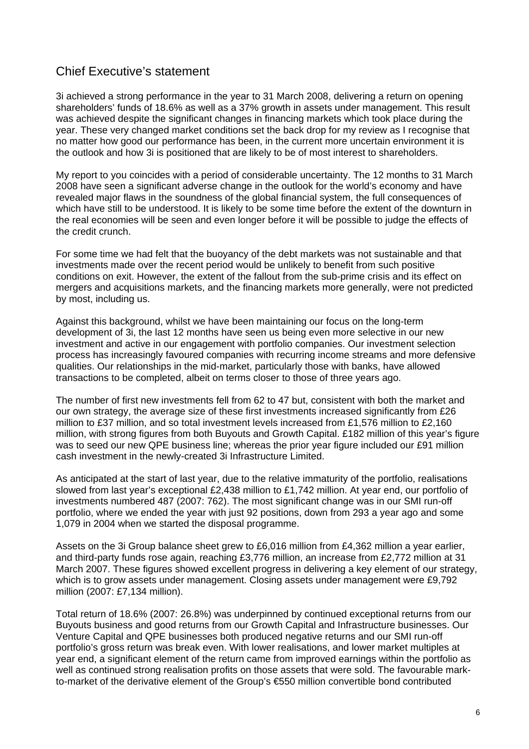# Chief Executive's statement

3i achieved a strong performance in the year to 31 March 2008, delivering a return on opening shareholders' funds of 18.6% as well as a 37% growth in assets under management. This result was achieved despite the significant changes in financing markets which took place during the year. These very changed market conditions set the back drop for my review as I recognise that no matter how good our performance has been, in the current more uncertain environment it is the outlook and how 3i is positioned that are likely to be of most interest to shareholders.

My report to you coincides with a period of considerable uncertainty. The 12 months to 31 March 2008 have seen a significant adverse change in the outlook for the world's economy and have revealed major flaws in the soundness of the global financial system, the full consequences of which have still to be understood. It is likely to be some time before the extent of the downturn in the real economies will be seen and even longer before it will be possible to judge the effects of the credit crunch.

For some time we had felt that the buoyancy of the debt markets was not sustainable and that investments made over the recent period would be unlikely to benefit from such positive conditions on exit. However, the extent of the fallout from the sub-prime crisis and its effect on mergers and acquisitions markets, and the financing markets more generally, were not predicted by most, including us.

Against this background, whilst we have been maintaining our focus on the long-term development of 3i, the last 12 months have seen us being even more selective in our new investment and active in our engagement with portfolio companies. Our investment selection process has increasingly favoured companies with recurring income streams and more defensive qualities. Our relationships in the mid-market, particularly those with banks, have allowed transactions to be completed, albeit on terms closer to those of three years ago.

The number of first new investments fell from 62 to 47 but, consistent with both the market and our own strategy, the average size of these first investments increased significantly from £26 million to £37 million, and so total investment levels increased from £1,576 million to £2,160 million, with strong figures from both Buyouts and Growth Capital. £182 million of this year's figure was to seed our new QPE business line; whereas the prior year figure included our £91 million cash investment in the newly-created 3i Infrastructure Limited.

As anticipated at the start of last year, due to the relative immaturity of the portfolio, realisations slowed from last year's exceptional £2,438 million to £1,742 million. At year end, our portfolio of investments numbered 487 (2007: 762). The most significant change was in our SMI run-off portfolio, where we ended the year with just 92 positions, down from 293 a year ago and some 1,079 in 2004 when we started the disposal programme.

Assets on the 3i Group balance sheet grew to £6,016 million from £4,362 million a year earlier, and third-party funds rose again, reaching £3,776 million, an increase from £2,772 million at 31 March 2007. These figures showed excellent progress in delivering a key element of our strategy, which is to grow assets under management. Closing assets under management were £9,792 million (2007: £7,134 million).

Total return of 18.6% (2007: 26.8%) was underpinned by continued exceptional returns from our Buyouts business and good returns from our Growth Capital and Infrastructure businesses. Our Venture Capital and QPE businesses both produced negative returns and our SMI run-off portfolio's gross return was break even. With lower realisations, and lower market multiples at year end, a significant element of the return came from improved earnings within the portfolio as well as continued strong realisation profits on those assets that were sold. The favourable markto-market of the derivative element of the Group's €550 million convertible bond contributed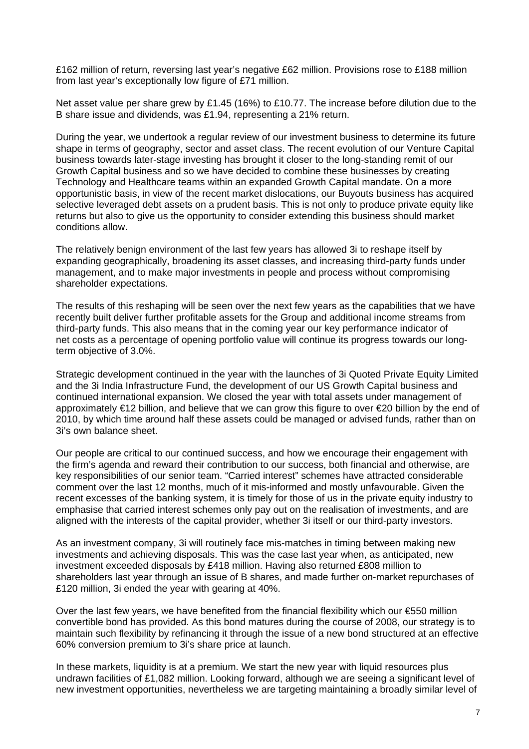£162 million of return, reversing last year's negative £62 million. Provisions rose to £188 million from last year's exceptionally low figure of £71 million.

Net asset value per share grew by £1.45 (16%) to £10.77. The increase before dilution due to the B share issue and dividends, was £1.94, representing a 21% return.

During the year, we undertook a regular review of our investment business to determine its future shape in terms of geography, sector and asset class. The recent evolution of our Venture Capital business towards later-stage investing has brought it closer to the long-standing remit of our Growth Capital business and so we have decided to combine these businesses by creating Technology and Healthcare teams within an expanded Growth Capital mandate. On a more opportunistic basis, in view of the recent market dislocations, our Buyouts business has acquired selective leveraged debt assets on a prudent basis. This is not only to produce private equity like returns but also to give us the opportunity to consider extending this business should market conditions allow.

The relatively benign environment of the last few years has allowed 3i to reshape itself by expanding geographically, broadening its asset classes, and increasing third-party funds under management, and to make major investments in people and process without compromising shareholder expectations.

The results of this reshaping will be seen over the next few years as the capabilities that we have recently built deliver further profitable assets for the Group and additional income streams from third-party funds. This also means that in the coming year our key performance indicator of net costs as a percentage of opening portfolio value will continue its progress towards our longterm objective of 3.0%.

Strategic development continued in the year with the launches of 3i Quoted Private Equity Limited and the 3i India Infrastructure Fund, the development of our US Growth Capital business and continued international expansion. We closed the year with total assets under management of approximately €12 billion, and believe that we can grow this figure to over €20 billion by the end of 2010, by which time around half these assets could be managed or advised funds, rather than on 3i's own balance sheet.

Our people are critical to our continued success, and how we encourage their engagement with the firm's agenda and reward their contribution to our success, both financial and otherwise, are key responsibilities of our senior team. "Carried interest" schemes have attracted considerable comment over the last 12 months, much of it mis-informed and mostly unfavourable. Given the recent excesses of the banking system, it is timely for those of us in the private equity industry to emphasise that carried interest schemes only pay out on the realisation of investments, and are aligned with the interests of the capital provider, whether 3i itself or our third-party investors.

As an investment company, 3i will routinely face mis-matches in timing between making new investments and achieving disposals. This was the case last year when, as anticipated, new investment exceeded disposals by £418 million. Having also returned £808 million to shareholders last year through an issue of B shares, and made further on-market repurchases of £120 million, 3i ended the year with gearing at 40%.

Over the last few years, we have benefited from the financial flexibility which our €550 million convertible bond has provided. As this bond matures during the course of 2008, our strategy is to maintain such flexibility by refinancing it through the issue of a new bond structured at an effective 60% conversion premium to 3i's share price at launch.

In these markets, liquidity is at a premium. We start the new year with liquid resources plus undrawn facilities of £1,082 million. Looking forward, although we are seeing a significant level of new investment opportunities, nevertheless we are targeting maintaining a broadly similar level of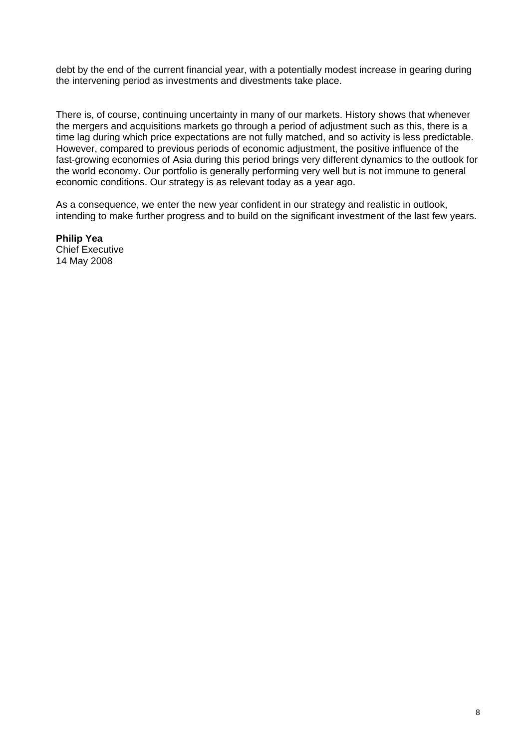debt by the end of the current financial year, with a potentially modest increase in gearing during the intervening period as investments and divestments take place.

There is, of course, continuing uncertainty in many of our markets. History shows that whenever the mergers and acquisitions markets go through a period of adjustment such as this, there is a time lag during which price expectations are not fully matched, and so activity is less predictable. However, compared to previous periods of economic adjustment, the positive influence of the fast-growing economies of Asia during this period brings very different dynamics to the outlook for the world economy. Our portfolio is generally performing very well but is not immune to general economic conditions. Our strategy is as relevant today as a year ago.

As a consequence, we enter the new year confident in our strategy and realistic in outlook, intending to make further progress and to build on the significant investment of the last few years.

**Philip Yea**  Chief Executive 14 May 2008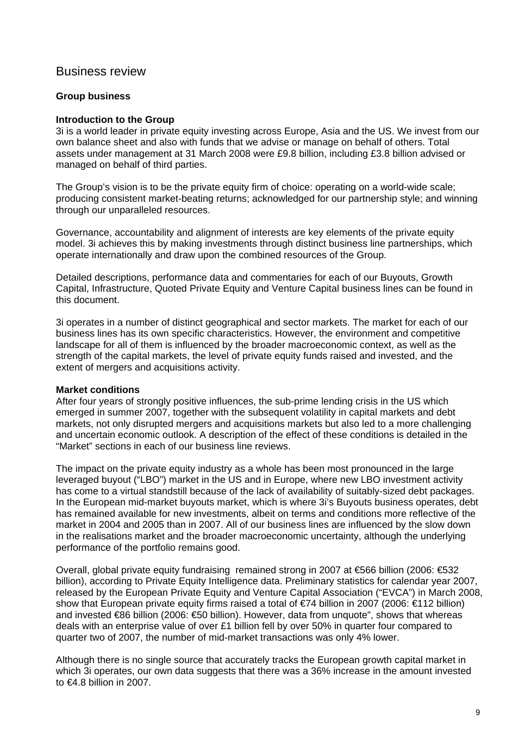## Business review

#### **Group business**

#### **Introduction to the Group**

3i is a world leader in private equity investing across Europe, Asia and the US. We invest from our own balance sheet and also with funds that we advise or manage on behalf of others. Total assets under management at 31 March 2008 were £9.8 billion, including £3.8 billion advised or managed on behalf of third parties.

The Group's vision is to be the private equity firm of choice: operating on a world-wide scale; producing consistent market-beating returns; acknowledged for our partnership style; and winning through our unparalleled resources.

Governance, accountability and alignment of interests are key elements of the private equity model. 3i achieves this by making investments through distinct business line partnerships, which operate internationally and draw upon the combined resources of the Group.

Detailed descriptions, performance data and commentaries for each of our Buyouts, Growth Capital, Infrastructure, Quoted Private Equity and Venture Capital business lines can be found in this document.

3i operates in a number of distinct geographical and sector markets. The market for each of our business lines has its own specific characteristics. However, the environment and competitive landscape for all of them is influenced by the broader macroeconomic context, as well as the strength of the capital markets, the level of private equity funds raised and invested, and the extent of mergers and acquisitions activity.

#### **Market conditions**

After four years of strongly positive influences, the sub-prime lending crisis in the US which emerged in summer 2007, together with the subsequent volatility in capital markets and debt markets, not only disrupted mergers and acquisitions markets but also led to a more challenging and uncertain economic outlook. A description of the effect of these conditions is detailed in the "Market" sections in each of our business line reviews.

The impact on the private equity industry as a whole has been most pronounced in the large leveraged buyout ("LBO") market in the US and in Europe, where new LBO investment activity has come to a virtual standstill because of the lack of availability of suitably-sized debt packages. In the European mid-market buyouts market, which is where 3i's Buyouts business operates, debt has remained available for new investments, albeit on terms and conditions more reflective of the market in 2004 and 2005 than in 2007. All of our business lines are influenced by the slow down in the realisations market and the broader macroeconomic uncertainty, although the underlying performance of the portfolio remains good.

Overall, global private equity fundraising remained strong in 2007 at €566 billion (2006: €532 billion), according to Private Equity Intelligence data. Preliminary statistics for calendar year 2007, released by the European Private Equity and Venture Capital Association ("EVCA") in March 2008, show that European private equity firms raised a total of €74 billion in 2007 (2006: €112 billion) and invested €86 billion (2006: €50 billion). However, data from unquote", shows that whereas deals with an enterprise value of over £1 billion fell by over 50% in quarter four compared to quarter two of 2007, the number of mid-market transactions was only 4% lower.

Although there is no single source that accurately tracks the European growth capital market in which 3i operates, our own data suggests that there was a 36% increase in the amount invested to €4.8 billion in 2007.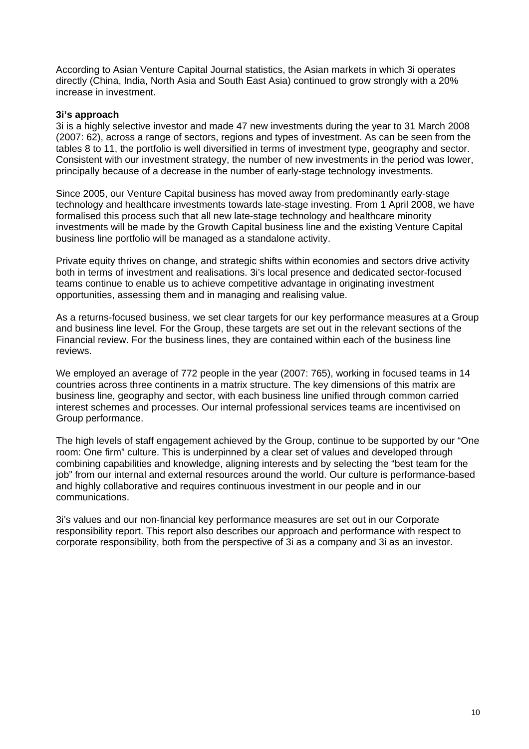According to Asian Venture Capital Journal statistics, the Asian markets in which 3i operates directly (China, India, North Asia and South East Asia) continued to grow strongly with a 20% increase in investment.

#### **3i's approach**

3i is a highly selective investor and made 47 new investments during the year to 31 March 2008 (2007: 62), across a range of sectors, regions and types of investment. As can be seen from the tables 8 to 11, the portfolio is well diversified in terms of investment type, geography and sector. Consistent with our investment strategy, the number of new investments in the period was lower, principally because of a decrease in the number of early-stage technology investments.

Since 2005, our Venture Capital business has moved away from predominantly early-stage technology and healthcare investments towards late-stage investing. From 1 April 2008, we have formalised this process such that all new late-stage technology and healthcare minority investments will be made by the Growth Capital business line and the existing Venture Capital business line portfolio will be managed as a standalone activity.

Private equity thrives on change, and strategic shifts within economies and sectors drive activity both in terms of investment and realisations. 3i's local presence and dedicated sector-focused teams continue to enable us to achieve competitive advantage in originating investment opportunities, assessing them and in managing and realising value.

As a returns-focused business, we set clear targets for our key performance measures at a Group and business line level. For the Group, these targets are set out in the relevant sections of the Financial review. For the business lines, they are contained within each of the business line reviews.

We employed an average of 772 people in the year (2007: 765), working in focused teams in 14 countries across three continents in a matrix structure. The key dimensions of this matrix are business line, geography and sector, with each business line unified through common carried interest schemes and processes. Our internal professional services teams are incentivised on Group performance.

The high levels of staff engagement achieved by the Group, continue to be supported by our "One room: One firm" culture. This is underpinned by a clear set of values and developed through combining capabilities and knowledge, aligning interests and by selecting the "best team for the job" from our internal and external resources around the world. Our culture is performance-based and highly collaborative and requires continuous investment in our people and in our communications.

3i's values and our non-financial key performance measures are set out in our Corporate responsibility report. This report also describes our approach and performance with respect to corporate responsibility, both from the perspective of 3i as a company and 3i as an investor.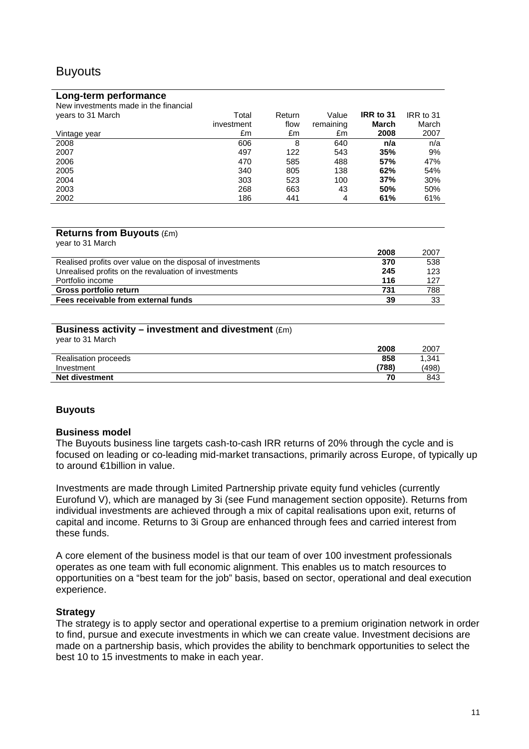# **Buyouts**

#### **Long-term performance**

| New investments made in the financial |            |        |           |           |           |
|---------------------------------------|------------|--------|-----------|-----------|-----------|
| years to 31 March                     | Total      | Return | Value     | IRR to 31 | IRR to 31 |
|                                       | investment | flow   | remaining | March     | March     |
| Vintage year                          | £m         | £m     | £m        | 2008      | 2007      |
| 2008                                  | 606        | 8      | 640       | n/a       | n/a       |
| 2007                                  | 497        | 122    | 543       | 35%       | 9%        |
| 2006                                  | 470        | 585    | 488       | 57%       | 47%       |
| 2005                                  | 340        | 805    | 138       | 62%       | 54%       |
| 2004                                  | 303        | 523    | 100       | 37%       | 30%       |
| 2003                                  | 268        | 663    | 43        | 50%       | 50%       |
| 2002                                  | 186        | 441    | 4         | 61%       | 61%       |

#### **Returns from Buyouts** (£m) year to 31 March

| YUU IU U I IVIUIUII                                        |      |      |
|------------------------------------------------------------|------|------|
|                                                            | 2008 | 2007 |
| Realised profits over value on the disposal of investments | 370  | 538  |
| Unrealised profits on the revaluation of investments       | 245  | 123  |
| Portfolio income                                           | 116  | 127  |
| Gross portfolio return                                     | 731  | 788  |
| Fees receivable from external funds                        | 39   | 33   |
|                                                            |      |      |

#### **Business activity – investment and divestment** (£m) year to 31 March

| $\gamma$ via to $\gamma$ is the proof. |       |       |
|----------------------------------------|-------|-------|
|                                        | 2008  | 2007  |
| Realisation proceeds                   | 858   | 1.341 |
| Investment                             | '788) | (498) |
| <b>Net divestment</b>                  | 70    | 843   |

#### **Buyouts**

#### **Business model**

The Buyouts business line targets cash-to-cash IRR returns of 20% through the cycle and is focused on leading or co-leading mid-market transactions, primarily across Europe, of typically up to around €1billion in value.

Investments are made through Limited Partnership private equity fund vehicles (currently Eurofund V), which are managed by 3i (see Fund management section opposite). Returns from individual investments are achieved through a mix of capital realisations upon exit, returns of capital and income. Returns to 3i Group are enhanced through fees and carried interest from these funds.

A core element of the business model is that our team of over 100 investment professionals operates as one team with full economic alignment. This enables us to match resources to opportunities on a "best team for the job" basis, based on sector, operational and deal execution experience.

#### **Strategy**

The strategy is to apply sector and operational expertise to a premium origination network in order to find, pursue and execute investments in which we can create value. Investment decisions are made on a partnership basis, which provides the ability to benchmark opportunities to select the best 10 to 15 investments to make in each year.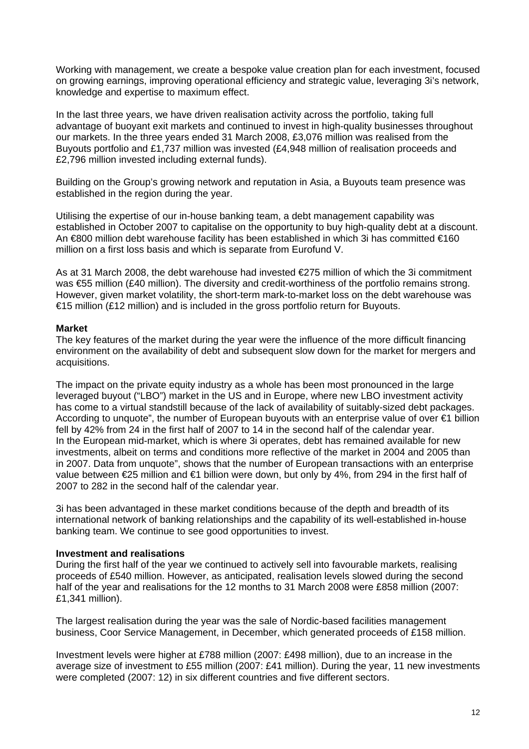Working with management, we create a bespoke value creation plan for each investment, focused on growing earnings, improving operational efficiency and strategic value, leveraging 3i's network, knowledge and expertise to maximum effect.

In the last three years, we have driven realisation activity across the portfolio, taking full advantage of buoyant exit markets and continued to invest in high-quality businesses throughout our markets. In the three years ended 31 March 2008, £3,076 million was realised from the Buyouts portfolio and £1,737 million was invested (£4,948 million of realisation proceeds and £2,796 million invested including external funds).

Building on the Group's growing network and reputation in Asia, a Buyouts team presence was established in the region during the year.

Utilising the expertise of our in-house banking team, a debt management capability was established in October 2007 to capitalise on the opportunity to buy high-quality debt at a discount. An €800 million debt warehouse facility has been established in which 3i has committed €160 million on a first loss basis and which is separate from Eurofund V.

As at 31 March 2008, the debt warehouse had invested €275 million of which the 3i commitment was €55 million (£40 million). The diversity and credit-worthiness of the portfolio remains strong. However, given market volatility, the short-term mark-to-market loss on the debt warehouse was €15 million (£12 million) and is included in the gross portfolio return for Buyouts.

#### **Market**

The key features of the market during the year were the influence of the more difficult financing environment on the availability of debt and subsequent slow down for the market for mergers and acquisitions.

The impact on the private equity industry as a whole has been most pronounced in the large leveraged buyout ("LBO") market in the US and in Europe, where new LBO investment activity has come to a virtual standstill because of the lack of availability of suitably-sized debt packages. According to unquote", the number of European buyouts with an enterprise value of over €1 billion fell by 42% from 24 in the first half of 2007 to 14 in the second half of the calendar year. In the European mid-market, which is where 3i operates, debt has remained available for new investments, albeit on terms and conditions more reflective of the market in 2004 and 2005 than in 2007. Data from unquote", shows that the number of European transactions with an enterprise value between €25 million and €1 billion were down, but only by 4%, from 294 in the first half of 2007 to 282 in the second half of the calendar year.

3i has been advantaged in these market conditions because of the depth and breadth of its international network of banking relationships and the capability of its well-established in-house banking team. We continue to see good opportunities to invest.

#### **Investment and realisations**

During the first half of the year we continued to actively sell into favourable markets, realising proceeds of £540 million. However, as anticipated, realisation levels slowed during the second half of the year and realisations for the 12 months to 31 March 2008 were £858 million (2007: £1,341 million).

The largest realisation during the year was the sale of Nordic-based facilities management business, Coor Service Management, in December, which generated proceeds of £158 million.

Investment levels were higher at £788 million (2007: £498 million), due to an increase in the average size of investment to £55 million (2007: £41 million). During the year, 11 new investments were completed (2007: 12) in six different countries and five different sectors.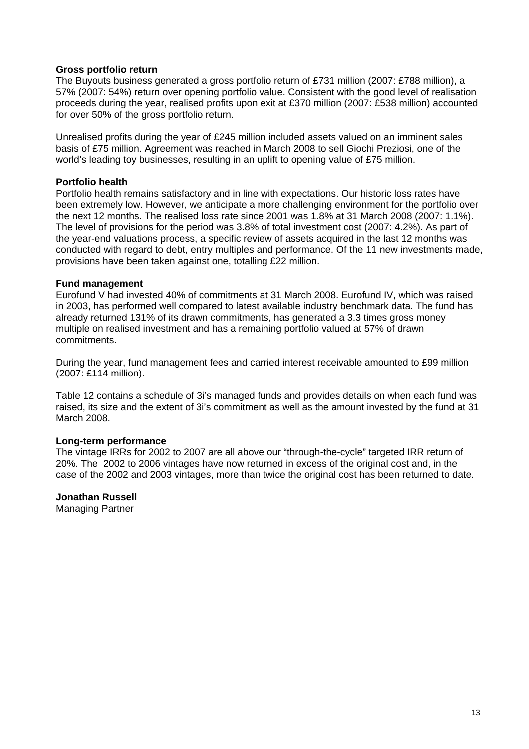#### **Gross portfolio return**

The Buyouts business generated a gross portfolio return of £731 million (2007: £788 million), a 57% (2007: 54%) return over opening portfolio value. Consistent with the good level of realisation proceeds during the year, realised profits upon exit at £370 million (2007: £538 million) accounted for over 50% of the gross portfolio return.

Unrealised profits during the year of £245 million included assets valued on an imminent sales basis of £75 million. Agreement was reached in March 2008 to sell Giochi Preziosi, one of the world's leading toy businesses, resulting in an uplift to opening value of £75 million.

#### **Portfolio health**

Portfolio health remains satisfactory and in line with expectations. Our historic loss rates have been extremely low. However, we anticipate a more challenging environment for the portfolio over the next 12 months. The realised loss rate since 2001 was 1.8% at 31 March 2008 (2007: 1.1%). The level of provisions for the period was 3.8% of total investment cost (2007: 4.2%). As part of the year-end valuations process, a specific review of assets acquired in the last 12 months was conducted with regard to debt, entry multiples and performance. Of the 11 new investments made, provisions have been taken against one, totalling £22 million.

#### **Fund management**

Eurofund V had invested 40% of commitments at 31 March 2008. Eurofund IV, which was raised in 2003, has performed well compared to latest available industry benchmark data. The fund has already returned 131% of its drawn commitments, has generated a 3.3 times gross money multiple on realised investment and has a remaining portfolio valued at 57% of drawn commitments.

During the year, fund management fees and carried interest receivable amounted to £99 million (2007: £114 million).

Table 12 contains a schedule of 3i's managed funds and provides details on when each fund was raised, its size and the extent of 3i's commitment as well as the amount invested by the fund at 31 March 2008.

#### **Long-term performance**

The vintage IRRs for 2002 to 2007 are all above our "through-the-cycle" targeted IRR return of 20%. The 2002 to 2006 vintages have now returned in excess of the original cost and, in the case of the 2002 and 2003 vintages, more than twice the original cost has been returned to date.

#### **Jonathan Russell**

Managing Partner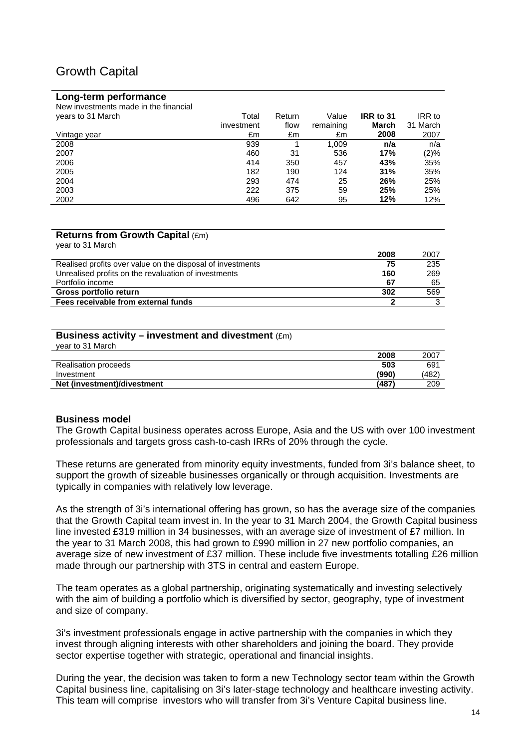# Growth Capital

#### **Long-term performance**

| New investments made in the financial |            |        |           |           |          |
|---------------------------------------|------------|--------|-----------|-----------|----------|
| years to 31 March                     | Total      | Return | Value     | IRR to 31 | IRR to   |
|                                       | investment | flow   | remaining | March     | 31 March |
| Vintage vear                          | £m         | £m     | £m        | 2008      | 2007     |
| 2008                                  | 939        |        | 1.009     | n/a       | n/a      |
| 2007                                  | 460        | 31     | 536       | 17%       | $(2)\%$  |
| 2006                                  | 414        | 350    | 457       | 43%       | 35%      |
| 2005                                  | 182        | 190    | 124       | 31%       | 35%      |
| 2004                                  | 293        | 474    | 25        | 26%       | 25%      |
| 2003                                  | 222        | 375    | 59        | 25%       | 25%      |
| 2002                                  | 496        | 642    | 95        | 12%       | 12%      |

#### **Returns from Growth Capital** (£m) year to 31 March

| $\gamma$ varito virtual virt                               | 2008 | 2007 |
|------------------------------------------------------------|------|------|
| Realised profits over value on the disposal of investments | 75   | 235  |
| Unrealised profits on the revaluation of investments       | 160  | 269  |
| Portfolio income                                           | 67   | 65   |
| Gross portfolio return                                     | 302  | 569  |
| Fees receivable from external funds                        |      |      |

#### **Business activity – investment and divestment**  $(Fm)$

| vear to 31 March            |       |       |
|-----------------------------|-------|-------|
|                             | 2008  | 2007  |
| Realisation proceeds        | 503   | 691   |
| Investment                  | (990) | (482) |
| Net (investment)/divestment | (487) | 209   |

#### **Business model**

The Growth Capital business operates across Europe, Asia and the US with over 100 investment professionals and targets gross cash-to-cash IRRs of 20% through the cycle.

These returns are generated from minority equity investments, funded from 3i's balance sheet, to support the growth of sizeable businesses organically or through acquisition. Investments are typically in companies with relatively low leverage.

As the strength of 3i's international offering has grown, so has the average size of the companies that the Growth Capital team invest in. In the year to 31 March 2004, the Growth Capital business line invested £319 million in 34 businesses, with an average size of investment of £7 million. In the year to 31 March 2008, this had grown to £990 million in 27 new portfolio companies, an average size of new investment of £37 million. These include five investments totalling £26 million made through our partnership with 3TS in central and eastern Europe.

The team operates as a global partnership, originating systematically and investing selectively with the aim of building a portfolio which is diversified by sector, geography, type of investment and size of company.

3i's investment professionals engage in active partnership with the companies in which they invest through aligning interests with other shareholders and joining the board. They provide sector expertise together with strategic, operational and financial insights.

During the year, the decision was taken to form a new Technology sector team within the Growth Capital business line, capitalising on 3i's later-stage technology and healthcare investing activity. This team will comprise investors who will transfer from 3i's Venture Capital business line.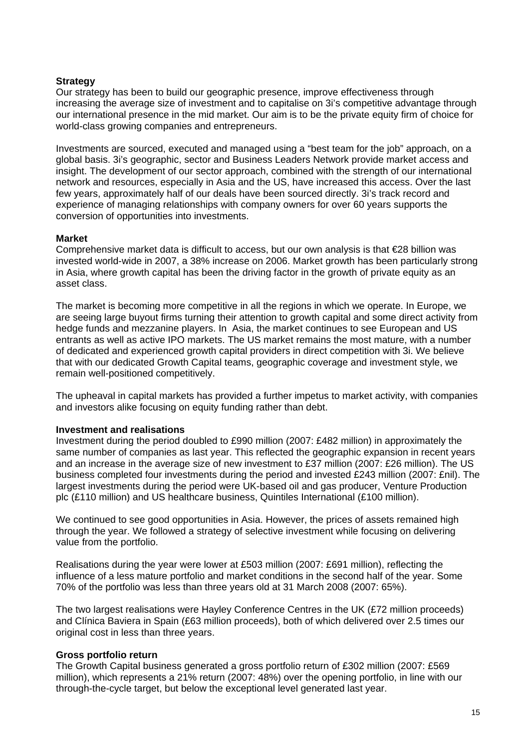#### **Strategy**

Our strategy has been to build our geographic presence, improve effectiveness through increasing the average size of investment and to capitalise on 3i's competitive advantage through our international presence in the mid market. Our aim is to be the private equity firm of choice for world-class growing companies and entrepreneurs.

Investments are sourced, executed and managed using a "best team for the job" approach, on a global basis. 3i's geographic, sector and Business Leaders Network provide market access and insight. The development of our sector approach, combined with the strength of our international network and resources, especially in Asia and the US, have increased this access. Over the last few years, approximately half of our deals have been sourced directly. 3i's track record and experience of managing relationships with company owners for over 60 years supports the conversion of opportunities into investments.

#### **Market**

Comprehensive market data is difficult to access, but our own analysis is that €28 billion was invested world-wide in 2007, a 38% increase on 2006. Market growth has been particularly strong in Asia, where growth capital has been the driving factor in the growth of private equity as an asset class.

The market is becoming more competitive in all the regions in which we operate. In Europe, we are seeing large buyout firms turning their attention to growth capital and some direct activity from hedge funds and mezzanine players. In Asia, the market continues to see European and US entrants as well as active IPO markets. The US market remains the most mature, with a number of dedicated and experienced growth capital providers in direct competition with 3i. We believe that with our dedicated Growth Capital teams, geographic coverage and investment style, we remain well-positioned competitively.

The upheaval in capital markets has provided a further impetus to market activity, with companies and investors alike focusing on equity funding rather than debt.

#### **Investment and realisations**

Investment during the period doubled to £990 million (2007: £482 million) in approximately the same number of companies as last year. This reflected the geographic expansion in recent years and an increase in the average size of new investment to £37 million (2007: £26 million). The US business completed four investments during the period and invested £243 million (2007: £nil). The largest investments during the period were UK-based oil and gas producer, Venture Production plc (£110 million) and US healthcare business, Quintiles International (£100 million).

We continued to see good opportunities in Asia. However, the prices of assets remained high through the year. We followed a strategy of selective investment while focusing on delivering value from the portfolio.

Realisations during the year were lower at £503 million (2007: £691 million), reflecting the influence of a less mature portfolio and market conditions in the second half of the year. Some 70% of the portfolio was less than three years old at 31 March 2008 (2007: 65%).

The two largest realisations were Hayley Conference Centres in the UK (£72 million proceeds) and Clínica Baviera in Spain (£63 million proceeds), both of which delivered over 2.5 times our original cost in less than three years.

#### **Gross portfolio return**

The Growth Capital business generated a gross portfolio return of £302 million (2007: £569 million), which represents a 21% return (2007: 48%) over the opening portfolio, in line with our through-the-cycle target, but below the exceptional level generated last year.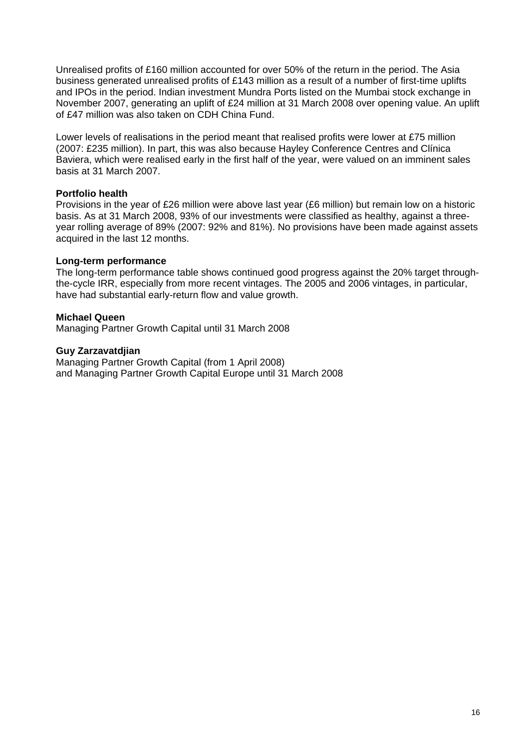Unrealised profits of £160 million accounted for over 50% of the return in the period. The Asia business generated unrealised profits of £143 million as a result of a number of first-time uplifts and IPOs in the period. Indian investment Mundra Ports listed on the Mumbai stock exchange in November 2007, generating an uplift of £24 million at 31 March 2008 over opening value. An uplift of £47 million was also taken on CDH China Fund.

Lower levels of realisations in the period meant that realised profits were lower at £75 million (2007: £235 million). In part, this was also because Hayley Conference Centres and Clínica Baviera, which were realised early in the first half of the year, were valued on an imminent sales basis at 31 March 2007.

#### **Portfolio health**

Provisions in the year of £26 million were above last year (£6 million) but remain low on a historic basis. As at 31 March 2008, 93% of our investments were classified as healthy, against a threeyear rolling average of 89% (2007: 92% and 81%). No provisions have been made against assets acquired in the last 12 months.

#### **Long-term performance**

The long-term performance table shows continued good progress against the 20% target throughthe-cycle IRR, especially from more recent vintages. The 2005 and 2006 vintages, in particular, have had substantial early-return flow and value growth.

#### **Michael Queen**

Managing Partner Growth Capital until 31 March 2008

#### **Guy Zarzavatdjian**

Managing Partner Growth Capital (from 1 April 2008) and Managing Partner Growth Capital Europe until 31 March 2008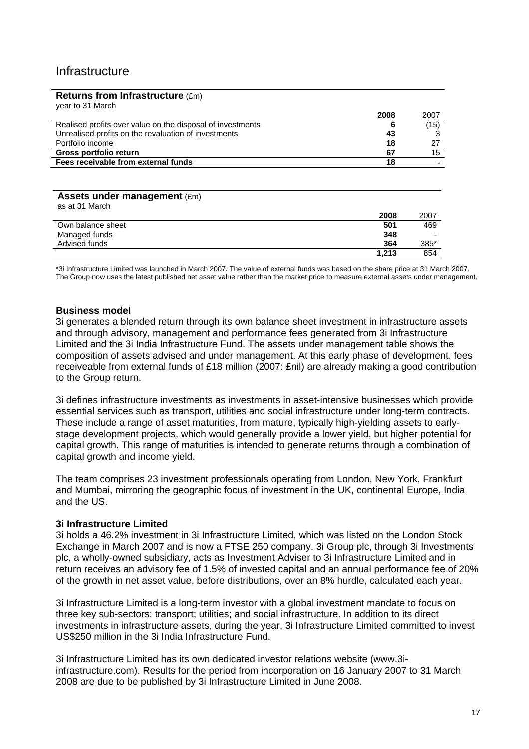# Infrastructure

#### **Returns from Infrastructure** (£m)

| year to 31 March                                           |      |      |
|------------------------------------------------------------|------|------|
|                                                            | 2008 | 2007 |
| Realised profits over value on the disposal of investments |      | (15) |
| Unrealised profits on the revaluation of investments       | 43   | 3    |
| Portfolio income                                           | 18   | 27   |
| Gross portfolio return                                     | 67   | 15   |
| Fees receivable from external funds                        | 18   |      |

# **Assets under management** (£m)

| as at 31 March    |       |                          |
|-------------------|-------|--------------------------|
|                   | 2008  | 2007                     |
| Own balance sheet | 501   | 469                      |
| Managed funds     | 348   | $\overline{\phantom{0}}$ |
| Advised funds     | 364   | 385*                     |
|                   | 1.213 | 854                      |

\*3i Infrastructure Limited was launched in March 2007. The value of external funds was based on the share price at 31 March 2007. The Group now uses the latest published net asset value rather than the market price to measure external assets under management.

#### **Business model**

3i generates a blended return through its own balance sheet investment in infrastructure assets and through advisory, management and performance fees generated from 3i Infrastructure Limited and the 3i India Infrastructure Fund. The assets under management table shows the composition of assets advised and under management. At this early phase of development, fees receiveable from external funds of £18 million (2007: £nil) are already making a good contribution to the Group return.

3i defines infrastructure investments as investments in asset-intensive businesses which provide essential services such as transport, utilities and social infrastructure under long-term contracts. These include a range of asset maturities, from mature, typically high-yielding assets to earlystage development projects, which would generally provide a lower yield, but higher potential for capital growth. This range of maturities is intended to generate returns through a combination of capital growth and income yield.

The team comprises 23 investment professionals operating from London, New York, Frankfurt and Mumbai, mirroring the geographic focus of investment in the UK, continental Europe, India and the US.

#### **3i Infrastructure Limited**

3i holds a 46.2% investment in 3i Infrastructure Limited, which was listed on the London Stock Exchange in March 2007 and is now a FTSE 250 company. 3i Group plc, through 3i Investments plc, a wholly-owned subsidiary, acts as Investment Adviser to 3i Infrastructure Limited and in return receives an advisory fee of 1.5% of invested capital and an annual performance fee of 20% of the growth in net asset value, before distributions, over an 8% hurdle, calculated each year.

3i Infrastructure Limited is a long-term investor with a global investment mandate to focus on three key sub-sectors: transport; utilities; and social infrastructure. In addition to its direct investments in infrastructure assets, during the year, 3i Infrastructure Limited committed to invest US\$250 million in the 3i India Infrastructure Fund.

3i Infrastructure Limited has its own dedicated investor relations website (www.3iinfrastructure.com). Results for the period from incorporation on 16 January 2007 to 31 March 2008 are due to be published by 3i Infrastructure Limited in June 2008.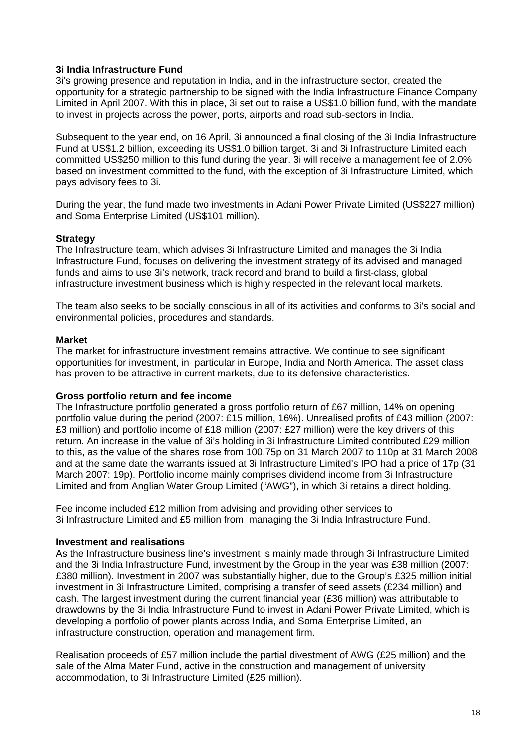#### **3i India Infrastructure Fund**

3i's growing presence and reputation in India, and in the infrastructure sector, created the opportunity for a strategic partnership to be signed with the India Infrastructure Finance Company Limited in April 2007. With this in place, 3i set out to raise a US\$1.0 billion fund, with the mandate to invest in projects across the power, ports, airports and road sub-sectors in India.

Subsequent to the year end, on 16 April, 3i announced a final closing of the 3i India Infrastructure Fund at US\$1.2 billion, exceeding its US\$1.0 billion target. 3i and 3i Infrastructure Limited each committed US\$250 million to this fund during the year. 3i will receive a management fee of 2.0% based on investment committed to the fund, with the exception of 3i Infrastructure Limited, which pays advisory fees to 3i.

During the year, the fund made two investments in Adani Power Private Limited (US\$227 million) and Soma Enterprise Limited (US\$101 million).

#### **Strategy**

The Infrastructure team, which advises 3i Infrastructure Limited and manages the 3i India Infrastructure Fund, focuses on delivering the investment strategy of its advised and managed funds and aims to use 3i's network, track record and brand to build a first-class, global infrastructure investment business which is highly respected in the relevant local markets.

The team also seeks to be socially conscious in all of its activities and conforms to 3i's social and environmental policies, procedures and standards.

#### **Market**

The market for infrastructure investment remains attractive. We continue to see significant opportunities for investment, in particular in Europe, India and North America. The asset class has proven to be attractive in current markets, due to its defensive characteristics.

#### **Gross portfolio return and fee income**

The Infrastructure portfolio generated a gross portfolio return of £67 million, 14% on opening portfolio value during the period (2007: £15 million, 16%). Unrealised profits of £43 million (2007: £3 million) and portfolio income of £18 million (2007: £27 million) were the key drivers of this return. An increase in the value of 3i's holding in 3i Infrastructure Limited contributed £29 million to this, as the value of the shares rose from 100.75p on 31 March 2007 to 110p at 31 March 2008 and at the same date the warrants issued at 3i Infrastructure Limited's IPO had a price of 17p (31 March 2007: 19p). Portfolio income mainly comprises dividend income from 3i Infrastructure Limited and from Anglian Water Group Limited ("AWG"), in which 3i retains a direct holding.

Fee income included £12 million from advising and providing other services to 3i Infrastructure Limited and £5 million from managing the 3i India Infrastructure Fund.

#### **Investment and realisations**

As the Infrastructure business line's investment is mainly made through 3i Infrastructure Limited and the 3i India Infrastructure Fund, investment by the Group in the year was £38 million (2007: £380 million). Investment in 2007 was substantially higher, due to the Group's £325 million initial investment in 3i Infrastructure Limited, comprising a transfer of seed assets (£234 million) and cash. The largest investment during the current financial year (£36 million) was attributable to drawdowns by the 3i India Infrastructure Fund to invest in Adani Power Private Limited, which is developing a portfolio of power plants across India, and Soma Enterprise Limited, an infrastructure construction, operation and management firm.

Realisation proceeds of £57 million include the partial divestment of AWG (£25 million) and the sale of the Alma Mater Fund, active in the construction and management of university accommodation, to 3i Infrastructure Limited (£25 million).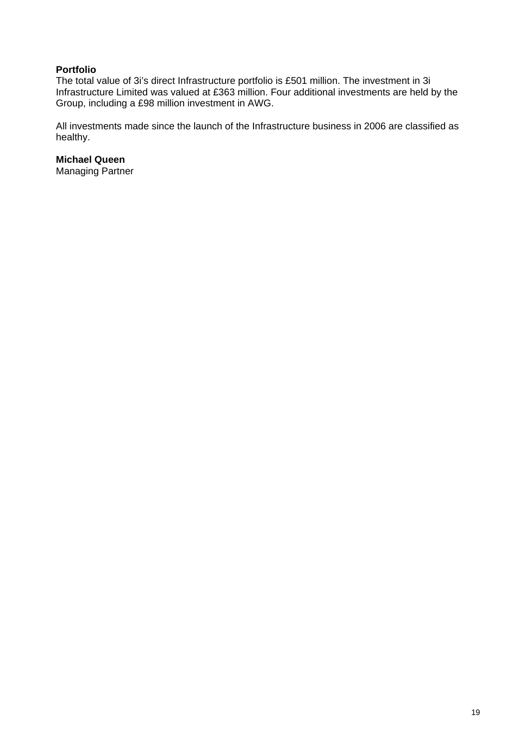#### **Portfolio**

The total value of 3i's direct Infrastructure portfolio is £501 million. The investment in 3i Infrastructure Limited was valued at £363 million. Four additional investments are held by the Group, including a £98 million investment in AWG.

All investments made since the launch of the Infrastructure business in 2006 are classified as healthy.

#### **Michael Queen**

Managing Partner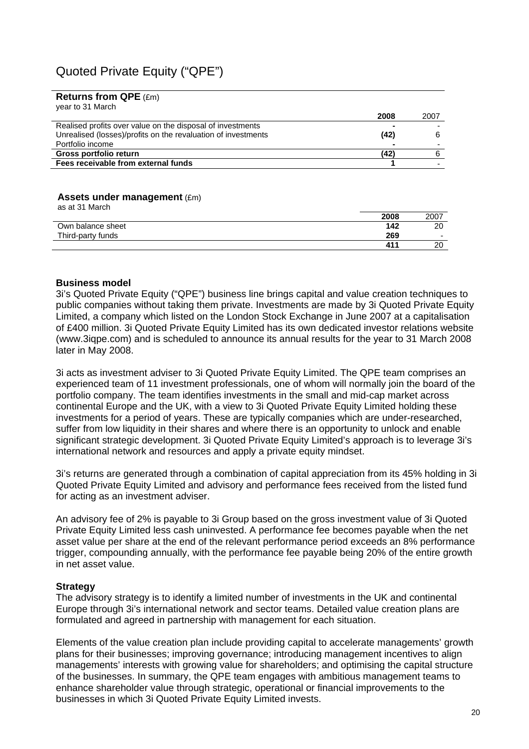# Quoted Private Equity ("QPE")

#### **Returns from QPE** (£m)

| Fees receivable from external funds                           |      |      |
|---------------------------------------------------------------|------|------|
| Gross portfolio return                                        | (42) | 6    |
| Portfolio income                                              |      |      |
| Unrealised (losses)/profits on the revaluation of investments | (42) | 6    |
| Realised profits over value on the disposal of investments    |      |      |
|                                                               | 2008 | 2007 |
| year to 31 March                                              |      |      |

#### **Assets under management** (£m) as at 31 March

| as at 51 march    |                 |                          |
|-------------------|-----------------|--------------------------|
|                   | 2008            | 2007                     |
| Own balance sheet | 142             | 20                       |
| Third-party funds | 269             | $\overline{\phantom{0}}$ |
|                   | 41 <sup>1</sup> | 20                       |

#### **Business model**

3i's Quoted Private Equity ("QPE") business line brings capital and value creation techniques to public companies without taking them private. Investments are made by 3i Quoted Private Equity Limited, a company which listed on the London Stock Exchange in June 2007 at a capitalisation of £400 million. 3i Quoted Private Equity Limited has its own dedicated investor relations website (www.3iqpe.com) and is scheduled to announce its annual results for the year to 31 March 2008 later in May 2008.

3i acts as investment adviser to 3i Quoted Private Equity Limited. The QPE team comprises an experienced team of 11 investment professionals, one of whom will normally join the board of the portfolio company. The team identifies investments in the small and mid-cap market across continental Europe and the UK, with a view to 3i Quoted Private Equity Limited holding these investments for a period of years. These are typically companies which are under-researched, suffer from low liquidity in their shares and where there is an opportunity to unlock and enable significant strategic development. 3i Quoted Private Equity Limited's approach is to leverage 3i's international network and resources and apply a private equity mindset.

3i's returns are generated through a combination of capital appreciation from its 45% holding in 3i Quoted Private Equity Limited and advisory and performance fees received from the listed fund for acting as an investment adviser.

An advisory fee of 2% is payable to 3i Group based on the gross investment value of 3i Quoted Private Equity Limited less cash uninvested. A performance fee becomes payable when the net asset value per share at the end of the relevant performance period exceeds an 8% performance trigger, compounding annually, with the performance fee payable being 20% of the entire growth in net asset value.

#### **Strategy**

The advisory strategy is to identify a limited number of investments in the UK and continental Europe through 3i's international network and sector teams. Detailed value creation plans are formulated and agreed in partnership with management for each situation.

Elements of the value creation plan include providing capital to accelerate managements' growth plans for their businesses; improving governance; introducing management incentives to align managements' interests with growing value for shareholders; and optimising the capital structure of the businesses. In summary, the QPE team engages with ambitious management teams to enhance shareholder value through strategic, operational or financial improvements to the businesses in which 3i Quoted Private Equity Limited invests.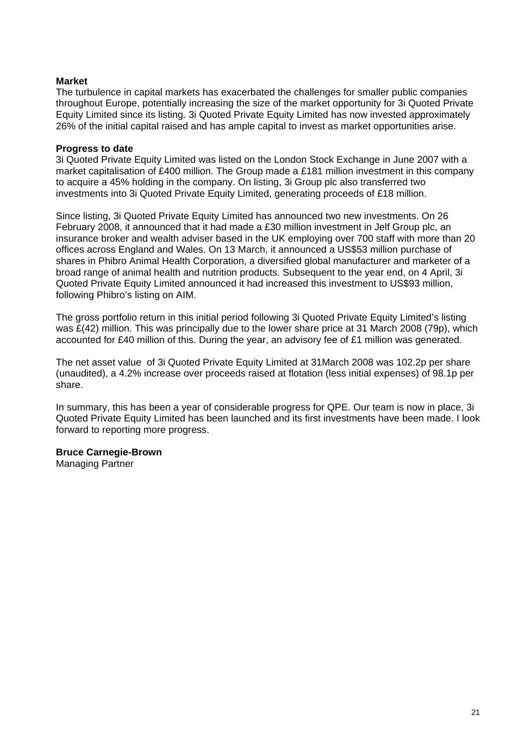#### **Market**

The turbulence in capital markets has exacerbated the challenges for smaller public companies throughout Europe, potentially increasing the size of the market opportunity for 3i Quoted Private Equity Limited since its listing. 3i Quoted Private Equity Limited has now invested approximately 26% of the initial capital raised and has ample capital to invest as market opportunities arise.

#### **Progress to date**

3i Quoted Private Equity Limited was listed on the London Stock Exchange in June 2007 with a market capitalisation of £400 million. The Group made a £181 million investment in this company to acquire a 45% holding in the company. On listing, 3i Group plc also transferred two investments into 3i Quoted Private Equity Limited, generating proceeds of £18 million.

Since listing, 3i Quoted Private Equity Limited has announced two new investments. On 26 February 2008, it announced that it had made a £30 million investment in Jelf Group plc, an insurance broker and wealth adviser based in the UK employing over 700 staff with more than 20 offices across England and Wales. On 13 March, it announced a US\$53 million purchase of shares in Phibro Animal Health Corporation, a diversified global manufacturer and marketer of a broad range of animal health and nutrition products. Subsequent to the year end, on 4 April, 3i Quoted Private Equity Limited announced it had increased this investment to US\$93 million, following Phibro's listing on AIM.

The gross portfolio return in this initial period following 3i Quoted Private Equity Limited's listing was £(42) million. This was principally due to the lower share price at 31 March 2008 (79p), which accounted for £40 million of this. During the year, an advisory fee of £1 million was generated.

The net asset value of 3i Quoted Private Equity Limited at 31March 2008 was 102.2p per share (unaudited), a 4.2% increase over proceeds raised at flotation (less initial expenses) of 98.1p per share.

In summary, this has been a year of considerable progress for QPE. Our team is now in place, 3i Quoted Private Equity Limited has been launched and its first investments have been made. I look forward to reporting more progress.

# **Bruce Carnegie-Brown**

Managing Partner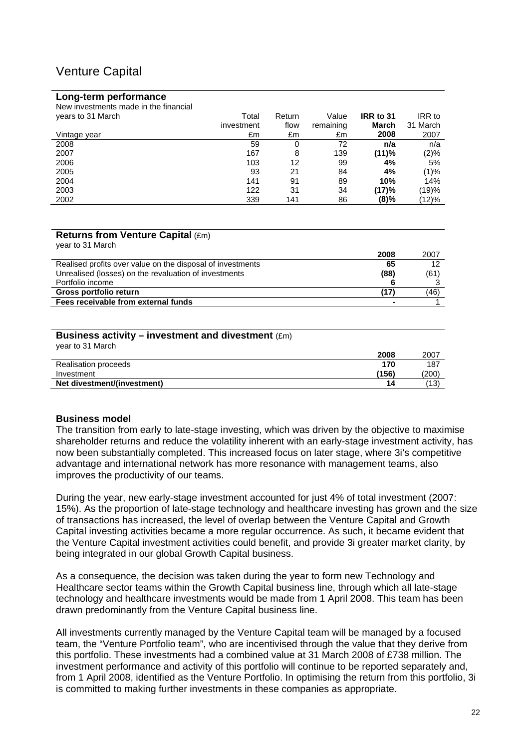# Venture Capital

#### **Long-term performance**

| New investments made in the financial |            |        |           |           |          |
|---------------------------------------|------------|--------|-----------|-----------|----------|
| years to 31 March                     | Total      | Return | Value     | IRR to 31 | IRR to   |
|                                       | investment | flow   | remaining | March     | 31 March |
| Vintage vear                          | £m         | £m     | £m        | 2008      | 2007     |
| 2008                                  | 59         | 0      | 72        | n/a       | n/a      |
| 2007                                  | 167        | 8      | 139       | (11)%     | $(2)\%$  |
| 2006                                  | 103        | 12     | 99        | 4%        | 5%       |
| 2005                                  | 93         | 21     | 84        | 4%        | (1)%     |
| 2004                                  | 141        | 91     | 89        | 10%       | 14%      |
| 2003                                  | 122        | 31     | 34        | (17)%     | (19)%    |
| 2002                                  | 339        | 141    | 86        | (8)%      | (12)%    |

#### **Returns from Venture Capital** (£m) year to 31 March

| $\sqrt{2}$<br>2008                                               | 2007 |
|------------------------------------------------------------------|------|
| Realised profits over value on the disposal of investments<br>65 |      |
| Unrealised (losses) on the revaluation of investments<br>(88)    | (61) |
| Portfolio income                                                 |      |
| Gross portfolio return                                           | (46) |
| Fees receivable from external funds<br>$\blacksquare$            |      |

| Business activity – investment and divestment $(\text{Em})$<br>year to 31 March |       |       |
|---------------------------------------------------------------------------------|-------|-------|
|                                                                                 | 2008  | 2007  |
| Realisation proceeds                                                            | 170   | 187   |
| Investment                                                                      | (156) | (200) |
| Net divestment/(investment)                                                     | 14    | (13)  |

#### **Business model**

The transition from early to late-stage investing, which was driven by the objective to maximise shareholder returns and reduce the volatility inherent with an early-stage investment activity, has now been substantially completed. This increased focus on later stage, where 3i's competitive advantage and international network has more resonance with management teams, also improves the productivity of our teams.

During the year, new early-stage investment accounted for just 4% of total investment (2007: 15%). As the proportion of late-stage technology and healthcare investing has grown and the size of transactions has increased, the level of overlap between the Venture Capital and Growth Capital investing activities became a more regular occurrence. As such, it became evident that the Venture Capital investment activities could benefit, and provide 3i greater market clarity, by being integrated in our global Growth Capital business.

As a consequence, the decision was taken during the year to form new Technology and Healthcare sector teams within the Growth Capital business line, through which all late-stage technology and healthcare investments would be made from 1 April 2008. This team has been drawn predominantly from the Venture Capital business line.

All investments currently managed by the Venture Capital team will be managed by a focused team, the "Venture Portfolio team", who are incentivised through the value that they derive from this portfolio. These investments had a combined value at 31 March 2008 of £738 million. The investment performance and activity of this portfolio will continue to be reported separately and, from 1 April 2008, identified as the Venture Portfolio. In optimising the return from this portfolio, 3i is committed to making further investments in these companies as appropriate.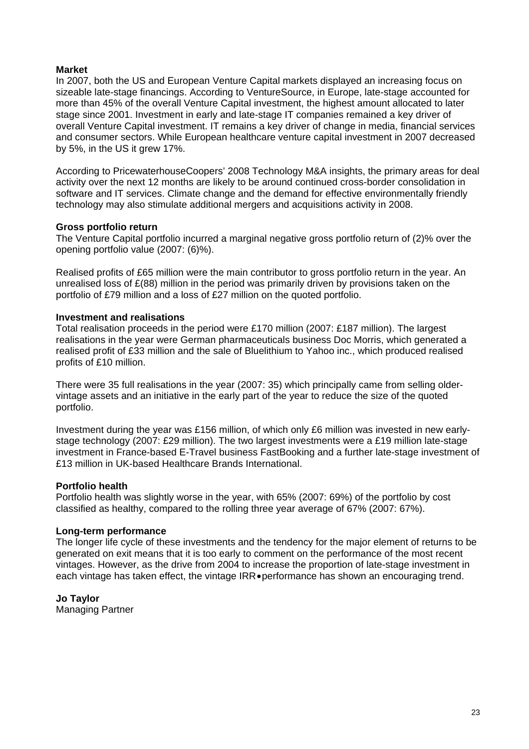#### **Market**

In 2007, both the US and European Venture Capital markets displayed an increasing focus on sizeable late-stage financings. According to VentureSource, in Europe, late-stage accounted for more than 45% of the overall Venture Capital investment, the highest amount allocated to later stage since 2001. Investment in early and late-stage IT companies remained a key driver of overall Venture Capital investment. IT remains a key driver of change in media, financial services and consumer sectors. While European healthcare venture capital investment in 2007 decreased by 5%, in the US it grew 17%.

According to PricewaterhouseCoopers' 2008 Technology M&A insights, the primary areas for deal activity over the next 12 months are likely to be around continued cross-border consolidation in software and IT services. Climate change and the demand for effective environmentally friendly technology may also stimulate additional mergers and acquisitions activity in 2008.

#### **Gross portfolio return**

The Venture Capital portfolio incurred a marginal negative gross portfolio return of (2)% over the opening portfolio value (2007: (6)%).

Realised profits of £65 million were the main contributor to gross portfolio return in the year. An unrealised loss of £(88) million in the period was primarily driven by provisions taken on the portfolio of £79 million and a loss of £27 million on the quoted portfolio.

#### **Investment and realisations**

Total realisation proceeds in the period were £170 million (2007: £187 million). The largest realisations in the year were German pharmaceuticals business Doc Morris, which generated a realised profit of £33 million and the sale of Bluelithium to Yahoo inc., which produced realised profits of £10 million.

There were 35 full realisations in the year (2007: 35) which principally came from selling oldervintage assets and an initiative in the early part of the year to reduce the size of the quoted portfolio.

Investment during the year was £156 million, of which only £6 million was invested in new earlystage technology (2007: £29 million). The two largest investments were a £19 million late-stage investment in France-based E-Travel business FastBooking and a further late-stage investment of £13 million in UK-based Healthcare Brands International.

#### **Portfolio health**

Portfolio health was slightly worse in the year, with 65% (2007: 69%) of the portfolio by cost classified as healthy, compared to the rolling three year average of 67% (2007: 67%).

#### **Long-term performance**

The longer life cycle of these investments and the tendency for the major element of returns to be generated on exit means that it is too early to comment on the performance of the most recent vintages. However, as the drive from 2004 to increase the proportion of late-stage investment in each vintage has taken effect, the vintage IRR•performance has shown an encouraging trend.

#### **Jo Taylor**

Managing Partner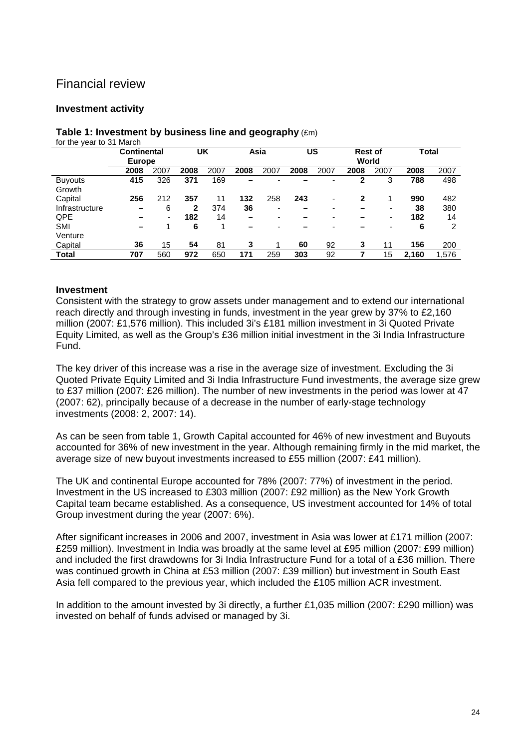# Financial review

#### **Investment activity**

# **Table 1: Investment by business line and geography** (£m)

| for the year to 31 March |                    |      |      |      |      |                |      |      |                |       |       |       |
|--------------------------|--------------------|------|------|------|------|----------------|------|------|----------------|-------|-------|-------|
|                          | <b>Continental</b> |      |      | UK   | Asia |                |      | US   | <b>Rest of</b> |       | Total |       |
|                          | <b>Europe</b>      |      |      |      |      |                |      |      |                | World |       |       |
|                          | 2008               | 2007 | 2008 | 2007 | 2008 | 2007           | 2008 | 2007 | 2008           | 2007  | 2008  | 2007  |
| <b>Buyouts</b>           | 415                | 326  | 371  | 169  |      |                |      | -    | 2              | 3     | 788   | 498   |
| Growth                   |                    |      |      |      |      |                |      |      |                |       |       |       |
| Capital                  | 256                | 212  | 357  | 11   | 132  | 258            | 243  | ٠    | $\mathbf{2}$   | 1     | 990   | 482   |
| Infrastructure           | -                  | 6    | 2    | 374  | 36   | ۰              | -    | -    |                | ۰     | 38    | 380   |
| <b>QPE</b>               |                    | ۰    | 182  | 14   | -    | -              |      | -    |                | ۰     | 182   | 14    |
| <b>SMI</b>               | -                  |      | 6    | 4    | -    | $\blacksquare$ |      | ۰    |                | -     | 6     | 2     |
| Venture                  |                    |      |      |      |      |                |      |      |                |       |       |       |
| Capital                  | 36                 | 15   | 54   | 81   | 3    |                | 60   | 92   | 3              | 11    | 156   | 200   |
| <b>Total</b>             | 707                | 560  | 972  | 650  | 171  | 259            | 303  | 92   |                | 15    | 2.160 | 1,576 |

**Investment** 

# Consistent with the strategy to grow assets under management and to extend our international

reach directly and through investing in funds, investment in the year grew by 37% to £2,160 million (2007: £1,576 million). This included 3i's £181 million investment in 3i Quoted Private Equity Limited, as well as the Group's £36 million initial investment in the 3i India Infrastructure Fund.

The key driver of this increase was a rise in the average size of investment. Excluding the 3i Quoted Private Equity Limited and 3i India Infrastructure Fund investments, the average size grew to £37 million (2007: £26 million). The number of new investments in the period was lower at 47 (2007: 62), principally because of a decrease in the number of early-stage technology investments (2008: 2, 2007: 14).

As can be seen from table 1, Growth Capital accounted for 46% of new investment and Buyouts accounted for 36% of new investment in the year. Although remaining firmly in the mid market, the average size of new buyout investments increased to £55 million (2007: £41 million).

The UK and continental Europe accounted for 78% (2007: 77%) of investment in the period. Investment in the US increased to £303 million (2007: £92 million) as the New York Growth Capital team became established. As a consequence, US investment accounted for 14% of total Group investment during the year (2007: 6%).

After significant increases in 2006 and 2007, investment in Asia was lower at £171 million (2007: £259 million). Investment in India was broadly at the same level at £95 million (2007: £99 million) and included the first drawdowns for 3i India Infrastructure Fund for a total of a £36 million. There was continued growth in China at £53 million (2007: £39 million) but investment in South East Asia fell compared to the previous year, which included the £105 million ACR investment.

In addition to the amount invested by 3i directly, a further £1,035 million (2007: £290 million) was invested on behalf of funds advised or managed by 3i.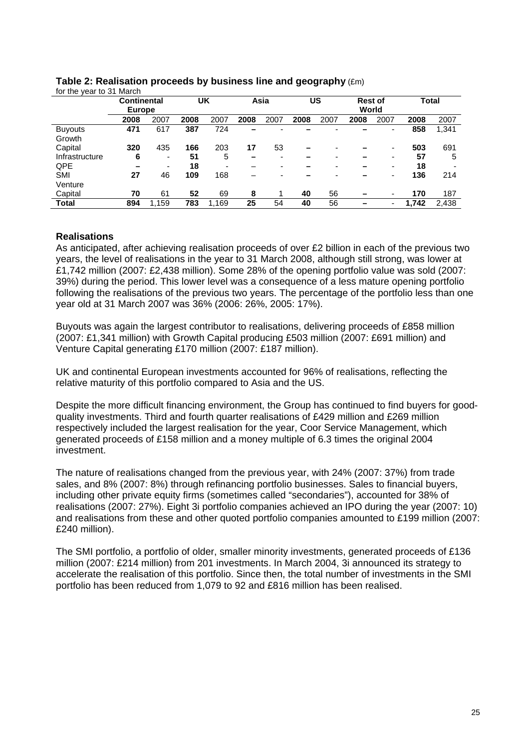| .<br>, vui w   | <u>.</u>           |                          |      |       |      |      |      |      |                |      |       |       |
|----------------|--------------------|--------------------------|------|-------|------|------|------|------|----------------|------|-------|-------|
|                | <b>Continental</b> |                          |      | UK    |      | Asia |      | บร   | <b>Rest of</b> |      |       | Total |
|                | <b>Europe</b>      |                          |      |       |      |      |      |      | World          |      |       |       |
|                | 2008               | 2007                     | 2008 | 2007  | 2008 | 2007 | 2008 | 2007 | 2008           | 2007 | 2008  | 2007  |
| <b>Buyouts</b> | 471                | 617                      | 387  | 724   |      |      |      |      |                | ۰    | 858   | 1,341 |
| Growth         |                    |                          |      |       |      |      |      |      |                |      |       |       |
| Capital        | 320                | 435                      | 166  | 203   | 17   | 53   |      |      |                | ۰    | 503   | 691   |
| Infrastructure | 6                  | $\overline{\phantom{0}}$ | 51   | 5     |      |      |      |      |                | ۰    | 57    | 5     |
| QPE            |                    | $\overline{\phantom{0}}$ | 18   |       |      |      |      |      |                | ۰    | 18    |       |
| <b>SMI</b>     | 27                 | 46                       | 109  | 168   |      |      |      |      |                | ۰    | 136   | 214   |
| Venture        |                    |                          |      |       |      |      |      |      |                |      |       |       |
| Capital        | 70                 | 61                       | 52   | 69    | 8    |      | 40   | 56   |                | ۰    | 170   | 187   |
| <b>Total</b>   | 894                | 1.159                    | 783  | 1.169 | 25   | 54   | 40   | 56   |                | ٠    | 1.742 | 2.438 |

#### **Table 2: Realisation proceeds by business line and geography** (£m) for the year to 31 March

#### **Realisations**

As anticipated, after achieving realisation proceeds of over £2 billion in each of the previous two years, the level of realisations in the year to 31 March 2008, although still strong, was lower at £1,742 million (2007: £2,438 million). Some 28% of the opening portfolio value was sold (2007: 39%) during the period. This lower level was a consequence of a less mature opening portfolio following the realisations of the previous two years. The percentage of the portfolio less than one year old at 31 March 2007 was 36% (2006: 26%, 2005: 17%).

Buyouts was again the largest contributor to realisations, delivering proceeds of £858 million (2007: £1,341 million) with Growth Capital producing £503 million (2007: £691 million) and Venture Capital generating £170 million (2007: £187 million).

UK and continental European investments accounted for 96% of realisations, reflecting the relative maturity of this portfolio compared to Asia and the US.

Despite the more difficult financing environment, the Group has continued to find buyers for goodquality investments. Third and fourth quarter realisations of £429 million and £269 million respectively included the largest realisation for the year, Coor Service Management, which generated proceeds of £158 million and a money multiple of 6.3 times the original 2004 investment.

The nature of realisations changed from the previous year, with 24% (2007: 37%) from trade sales, and 8% (2007: 8%) through refinancing portfolio businesses. Sales to financial buyers, including other private equity firms (sometimes called "secondaries"), accounted for 38% of realisations (2007: 27%). Eight 3i portfolio companies achieved an IPO during the year (2007: 10) and realisations from these and other quoted portfolio companies amounted to £199 million (2007: £240 million).

The SMI portfolio, a portfolio of older, smaller minority investments, generated proceeds of £136 million (2007: £214 million) from 201 investments. In March 2004, 3i announced its strategy to accelerate the realisation of this portfolio. Since then, the total number of investments in the SMI portfolio has been reduced from 1,079 to 92 and £816 million has been realised.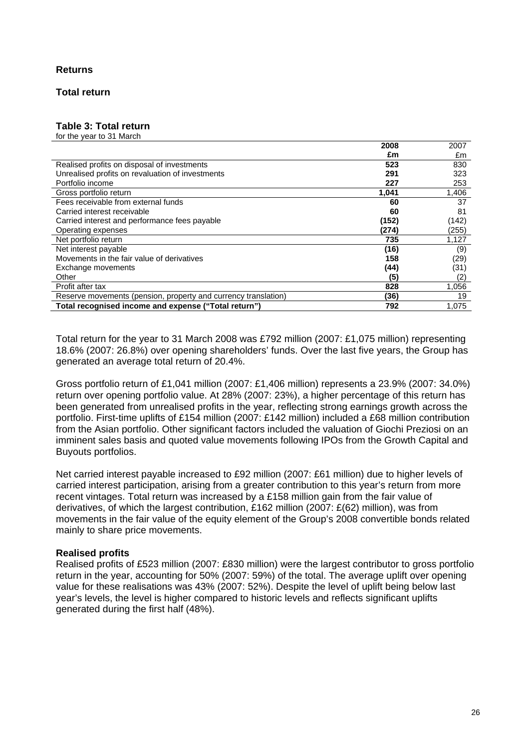#### **Returns**

#### **Total return**

#### **Table 3: Total return**

for the year to 31 March

|                                                                | 2008  | 2007  |
|----------------------------------------------------------------|-------|-------|
|                                                                | £m    | £m    |
| Realised profits on disposal of investments                    | 523   | 830   |
| Unrealised profits on revaluation of investments               | 291   | 323   |
| Portfolio income                                               | 227   | 253   |
| Gross portfolio return                                         | 1,041 | 1,406 |
| Fees receivable from external funds                            | 60    | 37    |
| Carried interest receivable                                    | 60    | 81    |
| Carried interest and performance fees payable                  | (152) | (142) |
| Operating expenses                                             | (274) | (255) |
| Net portfolio return                                           | 735   | 1,127 |
| Net interest payable                                           | (16)  | (9)   |
| Movements in the fair value of derivatives                     | 158   | (29)  |
| Exchange movements                                             | (44)  | (31)  |
| Other                                                          | (5)   | (2)   |
| Profit after tax                                               | 828   | 1,056 |
| Reserve movements (pension, property and currency translation) | (36)  | 19    |
| Total recognised income and expense ("Total return")           | 792   | 1.075 |

Total return for the year to 31 March 2008 was £792 million (2007: £1,075 million) representing 18.6% (2007: 26.8%) over opening shareholders' funds. Over the last five years, the Group has generated an average total return of 20.4%.

Gross portfolio return of £1,041 million (2007: £1,406 million) represents a 23.9% (2007: 34.0%) return over opening portfolio value. At 28% (2007: 23%), a higher percentage of this return has been generated from unrealised profits in the year, reflecting strong earnings growth across the portfolio. First-time uplifts of £154 million (2007: £142 million) included a £68 million contribution from the Asian portfolio. Other significant factors included the valuation of Giochi Preziosi on an imminent sales basis and quoted value movements following IPOs from the Growth Capital and Buyouts portfolios.

Net carried interest payable increased to £92 million (2007: £61 million) due to higher levels of carried interest participation, arising from a greater contribution to this year's return from more recent vintages. Total return was increased by a £158 million gain from the fair value of derivatives, of which the largest contribution, £162 million (2007: £(62) million), was from movements in the fair value of the equity element of the Group's 2008 convertible bonds related mainly to share price movements.

#### **Realised profits**

Realised profits of £523 million (2007: £830 million) were the largest contributor to gross portfolio return in the year, accounting for 50% (2007: 59%) of the total. The average uplift over opening value for these realisations was 43% (2007: 52%). Despite the level of uplift being below last year's levels, the level is higher compared to historic levels and reflects significant uplifts generated during the first half (48%).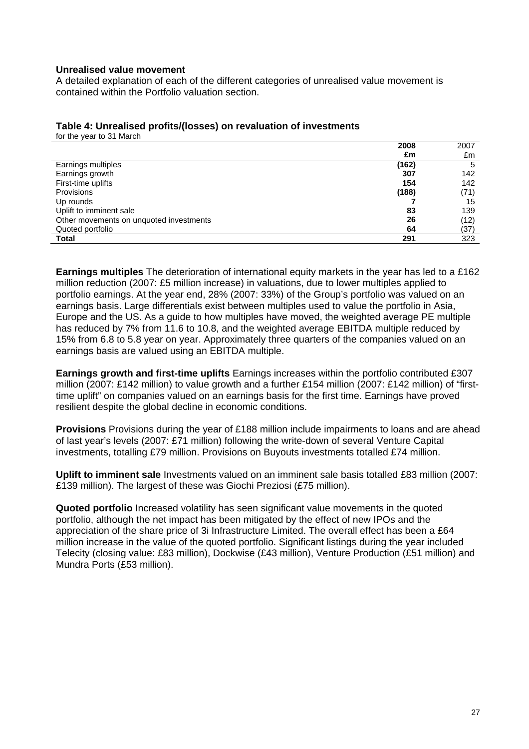#### **Unrealised value movement**

A detailed explanation of each of the different categories of unrealised value movement is contained within the Portfolio valuation section.

|                                         | 2008  | 2007 |
|-----------------------------------------|-------|------|
|                                         | £m    | £m   |
| Earnings multiples                      | (162) | 5    |
| Earnings growth                         | 307   | 142  |
| First-time uplifts                      | 154   | 142  |
| Provisions                              | (188) | (71) |
| Up rounds                               |       | 15   |
| Uplift to imminent sale                 | 83    | 139  |
| Other movements on unquoted investments | 26    | (12) |
| Quoted portfolio                        | 64    | (37) |
| <b>Total</b>                            | 291   | 323  |

#### **Table 4: Unrealised profits/(losses) on revaluation of investments**  for the year to 31 March

**Earnings multiples** The deterioration of international equity markets in the year has led to a £162 million reduction (2007: £5 million increase) in valuations, due to lower multiples applied to portfolio earnings. At the year end, 28% (2007: 33%) of the Group's portfolio was valued on an earnings basis. Large differentials exist between multiples used to value the portfolio in Asia, Europe and the US. As a guide to how multiples have moved, the weighted average PE multiple has reduced by 7% from 11.6 to 10.8, and the weighted average EBITDA multiple reduced by 15% from 6.8 to 5.8 year on year. Approximately three quarters of the companies valued on an earnings basis are valued using an EBITDA multiple.

**Earnings growth and first-time uplifts** Earnings increases within the portfolio contributed £307 million (2007: £142 million) to value growth and a further £154 million (2007: £142 million) of "firsttime uplift" on companies valued on an earnings basis for the first time. Earnings have proved resilient despite the global decline in economic conditions.

**Provisions** Provisions during the year of £188 million include impairments to loans and are ahead of last year's levels (2007: £71 million) following the write-down of several Venture Capital investments, totalling £79 million. Provisions on Buyouts investments totalled £74 million.

**Uplift to imminent sale** Investments valued on an imminent sale basis totalled £83 million (2007: £139 million). The largest of these was Giochi Preziosi (£75 million).

**Quoted portfolio** Increased volatility has seen significant value movements in the quoted portfolio, although the net impact has been mitigated by the effect of new IPOs and the appreciation of the share price of 3i Infrastructure Limited. The overall effect has been a £64 million increase in the value of the quoted portfolio. Significant listings during the year included Telecity (closing value: £83 million), Dockwise (£43 million), Venture Production (£51 million) and Mundra Ports (£53 million).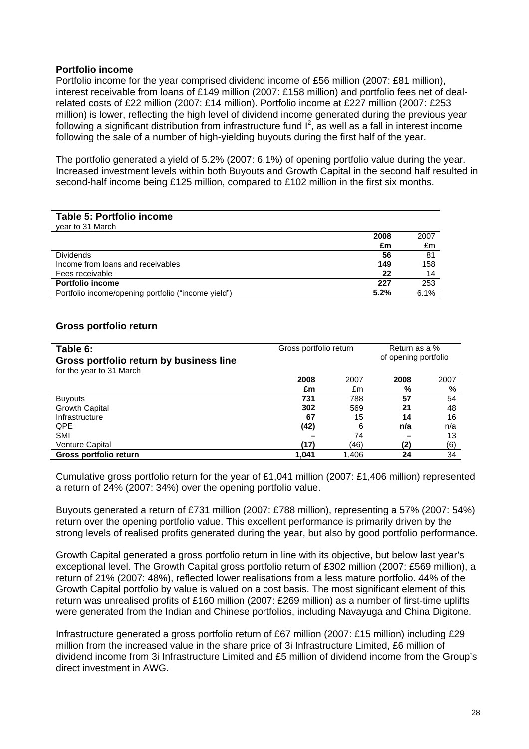#### **Portfolio income**

Portfolio income for the year comprised dividend income of £56 million (2007: £81 million), interest receivable from loans of £149 million (2007: £158 million) and portfolio fees net of dealrelated costs of £22 million (2007: £14 million). Portfolio income at £227 million (2007: £253 million) is lower, reflecting the high level of dividend income generated during the previous year following a significant distribution from infrastructure fund  $I^2$ , as well as a fall in interest income following the sale of a number of high-yielding buyouts during the first half of the year.

The portfolio generated a yield of 5.2% (2007: 6.1%) of opening portfolio value during the year. Increased investment levels within both Buyouts and Growth Capital in the second half resulted in second-half income being £125 million, compared to £102 million in the first six months.

| Table 5: Portfolio income<br>year to 31 March       |      |      |
|-----------------------------------------------------|------|------|
|                                                     | 2008 | 2007 |
|                                                     | £m   | £m   |
| <b>Dividends</b>                                    | 56   | 81   |
| Income from loans and receivables                   | 149  | 158  |
| Fees receivable                                     | 22   | 14   |
| <b>Portfolio income</b>                             | 227  | 253  |
| Portfolio income/opening portfolio ("income yield") | 5.2% | 6.1% |

#### **Gross portfolio return**

| Table 6:<br>Gross portfolio return by business line<br>for the year to 31 March | Gross portfolio return | Return as a %<br>of opening portfolio |      |      |
|---------------------------------------------------------------------------------|------------------------|---------------------------------------|------|------|
|                                                                                 | 2008                   | 2007                                  | 2008 | 2007 |
|                                                                                 | £m                     | £m                                    | %    | %    |
| <b>Buyouts</b>                                                                  | 731                    | 788                                   | 57   | 54   |
| <b>Growth Capital</b>                                                           | 302                    | 569                                   | 21   | 48   |
| Infrastructure                                                                  | 67                     | 15                                    | 14   | 16   |
| <b>QPE</b>                                                                      | (42)                   | 6                                     | n/a  | n/a  |
| <b>SMI</b>                                                                      |                        | 74                                    |      | 13   |
| Venture Capital                                                                 | (17)                   | (46)                                  | (2)  | (6)  |
| Gross portfolio return                                                          | 1.041                  | 1.406                                 | 24   | 34   |

Cumulative gross portfolio return for the year of £1,041 million (2007: £1,406 million) represented a return of 24% (2007: 34%) over the opening portfolio value.

Buyouts generated a return of £731 million (2007: £788 million), representing a 57% (2007: 54%) return over the opening portfolio value. This excellent performance is primarily driven by the strong levels of realised profits generated during the year, but also by good portfolio performance.

Growth Capital generated a gross portfolio return in line with its objective, but below last year's exceptional level. The Growth Capital gross portfolio return of £302 million (2007: £569 million), a return of 21% (2007: 48%), reflected lower realisations from a less mature portfolio. 44% of the Growth Capital portfolio by value is valued on a cost basis. The most significant element of this return was unrealised profits of £160 million (2007: £269 million) as a number of first-time uplifts were generated from the Indian and Chinese portfolios, including Navayuga and China Digitone.

Infrastructure generated a gross portfolio return of £67 million (2007: £15 million) including £29 million from the increased value in the share price of 3i Infrastructure Limited, £6 million of dividend income from 3i Infrastructure Limited and £5 million of dividend income from the Group's direct investment in AWG.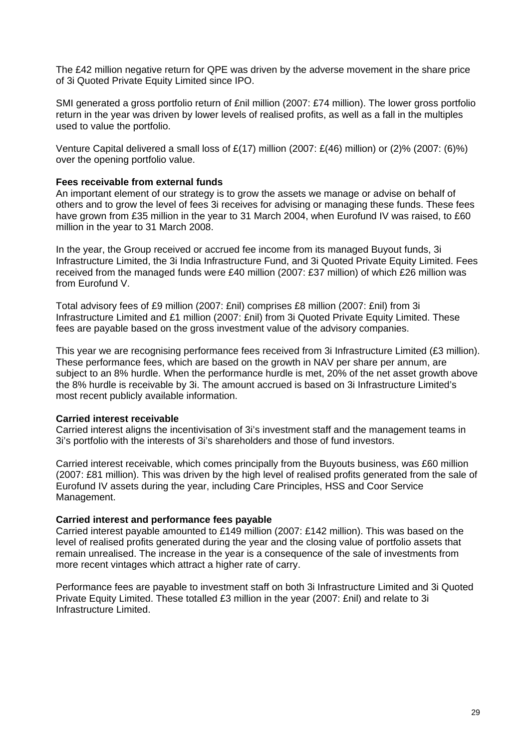The £42 million negative return for QPE was driven by the adverse movement in the share price of 3i Quoted Private Equity Limited since IPO.

SMI generated a gross portfolio return of £nil million (2007: £74 million). The lower gross portfolio return in the year was driven by lower levels of realised profits, as well as a fall in the multiples used to value the portfolio.

Venture Capital delivered a small loss of  $E(17)$  million (2007:  $E(46)$  million) or (2)% (2007: (6)%) over the opening portfolio value.

#### **Fees receivable from external funds**

An important element of our strategy is to grow the assets we manage or advise on behalf of others and to grow the level of fees 3i receives for advising or managing these funds. These fees have grown from £35 million in the year to 31 March 2004, when Eurofund IV was raised, to £60 million in the year to 31 March 2008.

In the year, the Group received or accrued fee income from its managed Buyout funds, 3i Infrastructure Limited, the 3i India Infrastructure Fund, and 3i Quoted Private Equity Limited. Fees received from the managed funds were £40 million (2007: £37 million) of which £26 million was from Eurofund V.

Total advisory fees of £9 million (2007: £nil) comprises £8 million (2007: £nil) from 3i Infrastructure Limited and £1 million (2007: £nil) from 3i Quoted Private Equity Limited. These fees are payable based on the gross investment value of the advisory companies.

This year we are recognising performance fees received from 3i Infrastructure Limited (£3 million). These performance fees, which are based on the growth in NAV per share per annum, are subject to an 8% hurdle. When the performance hurdle is met, 20% of the net asset growth above the 8% hurdle is receivable by 3i. The amount accrued is based on 3i Infrastructure Limited's most recent publicly available information.

#### **Carried interest receivable**

Carried interest aligns the incentivisation of 3i's investment staff and the management teams in 3i's portfolio with the interests of 3i's shareholders and those of fund investors.

Carried interest receivable, which comes principally from the Buyouts business, was £60 million (2007: £81 million). This was driven by the high level of realised profits generated from the sale of Eurofund IV assets during the year, including Care Principles, HSS and Coor Service Management.

#### **Carried interest and performance fees payable**

Carried interest payable amounted to £149 million (2007: £142 million). This was based on the level of realised profits generated during the year and the closing value of portfolio assets that remain unrealised. The increase in the year is a consequence of the sale of investments from more recent vintages which attract a higher rate of carry.

Performance fees are payable to investment staff on both 3i Infrastructure Limited and 3i Quoted Private Equity Limited. These totalled £3 million in the year (2007: £nil) and relate to 3i Infrastructure Limited.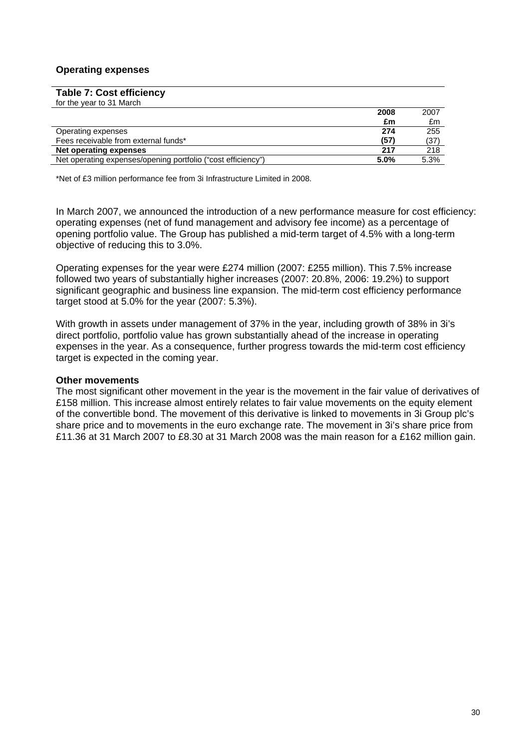#### **Operating expenses**

| <b>Table 7: Cost efficiency</b>                              |      |      |
|--------------------------------------------------------------|------|------|
| for the year to 31 March                                     |      |      |
|                                                              | 2008 | 2007 |
|                                                              | £m   | £m   |
| Operating expenses                                           | 274  | 255  |
| Fees receivable from external funds*                         | (57) | (37) |
| Net operating expenses                                       | 217  | 218  |
| Net operating expenses/opening portfolio ("cost efficiency") | 5.0% | 5.3% |

\*Net of £3 million performance fee from 3i Infrastructure Limited in 2008.

In March 2007, we announced the introduction of a new performance measure for cost efficiency: operating expenses (net of fund management and advisory fee income) as a percentage of opening portfolio value. The Group has published a mid-term target of 4.5% with a long-term objective of reducing this to 3.0%.

Operating expenses for the year were £274 million (2007: £255 million). This 7.5% increase followed two years of substantially higher increases (2007: 20.8%, 2006: 19.2%) to support significant geographic and business line expansion. The mid-term cost efficiency performance target stood at 5.0% for the year (2007: 5.3%).

With growth in assets under management of 37% in the year, including growth of 38% in 3i's direct portfolio, portfolio value has grown substantially ahead of the increase in operating expenses in the year. As a consequence, further progress towards the mid-term cost efficiency target is expected in the coming year.

#### **Other movements**

The most significant other movement in the year is the movement in the fair value of derivatives of £158 million. This increase almost entirely relates to fair value movements on the equity element of the convertible bond. The movement of this derivative is linked to movements in 3i Group plc's share price and to movements in the euro exchange rate. The movement in 3i's share price from £11.36 at 31 March 2007 to £8.30 at 31 March 2008 was the main reason for a £162 million gain.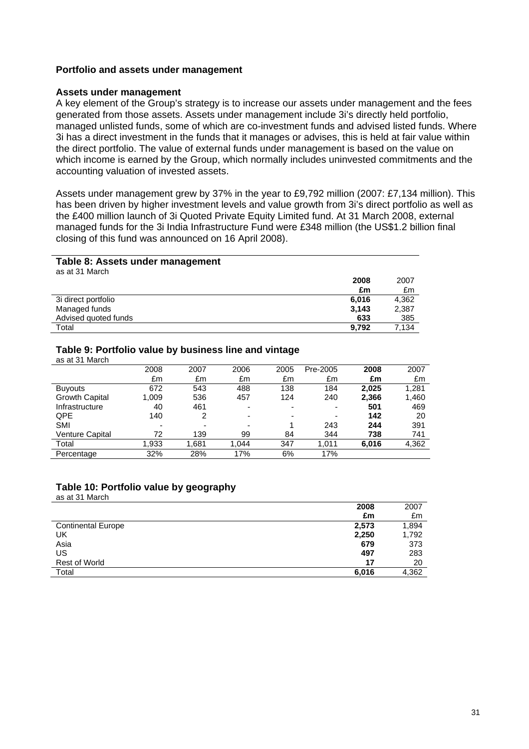#### **Portfolio and assets under management**

#### **Assets under management**

A key element of the Group's strategy is to increase our assets under management and the fees generated from those assets. Assets under management include 3i's directly held portfolio, managed unlisted funds, some of which are co-investment funds and advised listed funds. Where 3i has a direct investment in the funds that it manages or advises, this is held at fair value within the direct portfolio. The value of external funds under management is based on the value on which income is earned by the Group, which normally includes uninvested commitments and the accounting valuation of invested assets.

Assets under management grew by 37% in the year to £9,792 million (2007: £7,134 million). This has been driven by higher investment levels and value growth from 3i's direct portfolio as well as the £400 million launch of 3i Quoted Private Equity Limited fund. At 31 March 2008, external managed funds for the 3i India Infrastructure Fund were £348 million (the US\$1.2 billion final closing of this fund was announced on 16 April 2008).

#### **Table 8: Assets under management**

| as at 31 March       |       |       |
|----------------------|-------|-------|
|                      | 2008  | 2007  |
|                      | £m    | £m    |
| 3i direct portfolio  | 6.016 | 4,362 |
| Managed funds        | 3.143 | 2,387 |
| Advised quoted funds | 633   | 385   |
| Total                | 9.792 | 7.134 |

#### **Table 9: Portfolio value by business line and vintage**

| as at 31 March        |       |       |       |      |          |       |       |
|-----------------------|-------|-------|-------|------|----------|-------|-------|
|                       | 2008  | 2007  | 2006  | 2005 | Pre-2005 | 2008  | 2007  |
|                       | £m    | £m    | £m    | £m   | £m       | £m    | £m    |
| <b>Buyouts</b>        | 672   | 543   | 488   | 138  | 184      | 2.025 | 1,281 |
| <b>Growth Capital</b> | 1.009 | 536   | 457   | 124  | 240      | 2,366 | 1,460 |
| Infrastructure        | 40    | 461   | -     |      | ٠        | 501   | 469   |
| QPE.                  | 140   | 2     | -     | ۰    | ٠        | 142   | 20    |
| <b>SMI</b>            |       | ۰     |       |      | 243      | 244   | 391   |
| Venture Capital       | 72    | 139   | 99    | 84   | 344      | 738   | 741   |
| Total                 | 1,933 | 1,681 | 1.044 | 347  | 1.011    | 6,016 | 4,362 |
| Percentage            | 32%   | 28%   | 17%   | 6%   | 17%      |       |       |

#### **Table 10: Portfolio value by geography**  as at 31 March

|                           | 2008  | 2007  |
|---------------------------|-------|-------|
|                           | £m    | £m    |
| <b>Continental Europe</b> | 2,573 | 1,894 |
| UK                        | 2,250 | 1,792 |
| Asia                      | 679   | 373   |
| US                        | 497   | 283   |
| <b>Rest of World</b>      | 17    | 20    |
| Total                     | 6,016 | 4,362 |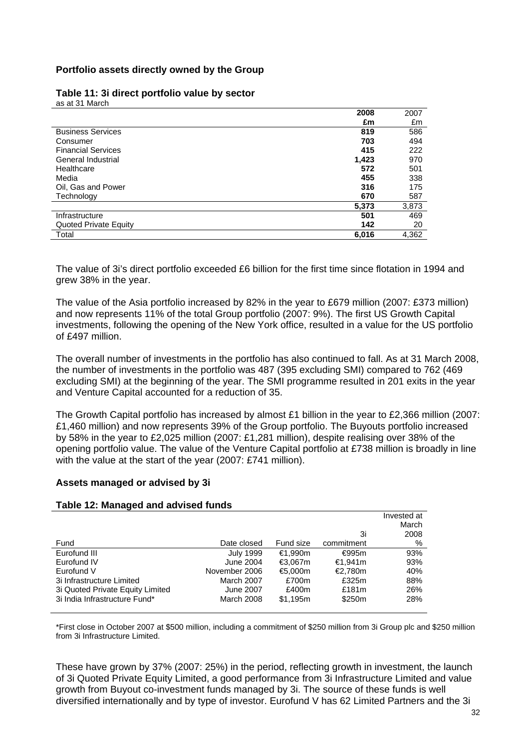#### **Portfolio assets directly owned by the Group**

|                              | 2008  | 2007  |
|------------------------------|-------|-------|
|                              | £m    | £m    |
| <b>Business Services</b>     | 819   | 586   |
| Consumer                     | 703   | 494   |
| <b>Financial Services</b>    | 415   | 222   |
| General Industrial           | 1,423 | 970   |
| Healthcare                   | 572   | 501   |
| Media                        | 455   | 338   |
| Oil, Gas and Power           | 316   | 175   |
| Technology                   | 670   | 587   |
|                              | 5,373 | 3,873 |
| Infrastructure               | 501   | 469   |
| <b>Quoted Private Equity</b> | 142   | 20    |
| Total                        | 6,016 | 4,362 |

#### **Table 11: 3i direct portfolio value by sector** as at 31 March

The value of 3i's direct portfolio exceeded £6 billion for the first time since flotation in 1994 and grew 38% in the year.

The value of the Asia portfolio increased by 82% in the year to £679 million (2007: £373 million) and now represents 11% of the total Group portfolio (2007: 9%). The first US Growth Capital investments, following the opening of the New York office, resulted in a value for the US portfolio of £497 million.

The overall number of investments in the portfolio has also continued to fall. As at 31 March 2008, the number of investments in the portfolio was 487 (395 excluding SMI) compared to 762 (469 excluding SMI) at the beginning of the year. The SMI programme resulted in 201 exits in the year and Venture Capital accounted for a reduction of 35.

The Growth Capital portfolio has increased by almost £1 billion in the year to £2,366 million (2007: £1,460 million) and now represents 39% of the Group portfolio. The Buyouts portfolio increased by 58% in the year to £2,025 million (2007: £1,281 million), despite realising over 38% of the opening portfolio value. The value of the Venture Capital portfolio at £738 million is broadly in line with the value at the start of the year (2007: £741 million).

#### **Assets managed or advised by 3i**

#### **Table 12: Managed and advised funds**

|                                  |                  |           |            | Invested at |
|----------------------------------|------------------|-----------|------------|-------------|
|                                  |                  |           |            | March       |
|                                  |                  |           | 3i         | 2008        |
| Fund                             | Date closed      | Fund size | commitment | %           |
| Eurofund III                     | <b>July 1999</b> | €1.990m   | €995m      | 93%         |
| Eurofund IV                      | June 2004        | €3,067m   | €1.941m    | 93%         |
| Eurofund V                       | November 2006    | €5.000m   | €2.780m    | 40%         |
| 3i Infrastructure Limited        | March 2007       | £700m     | £325m      | 88%         |
| 3i Quoted Private Equity Limited | <b>June 2007</b> | £400m     | £181m      | 26%         |
| 3i India Infrastructure Fund*    | March 2008       | \$1.195m  | \$250m     | 28%         |

\*First close in October 2007 at \$500 million, including a commitment of \$250 million from 3i Group plc and \$250 million from 3i Infrastructure Limited.

These have grown by 37% (2007: 25%) in the period, reflecting growth in investment, the launch of 3i Quoted Private Equity Limited, a good performance from 3i Infrastructure Limited and value growth from Buyout co-investment funds managed by 3i. The source of these funds is well diversified internationally and by type of investor. Eurofund V has 62 Limited Partners and the 3i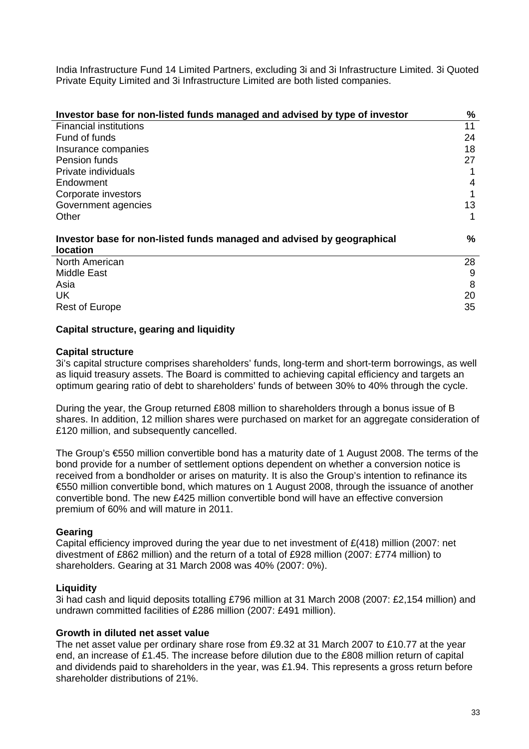India Infrastructure Fund 14 Limited Partners, excluding 3i and 3i Infrastructure Limited. 3i Quoted Private Equity Limited and 3i Infrastructure Limited are both listed companies.

| Investor base for non-listed funds managed and advised by type of investor                | %    |
|-------------------------------------------------------------------------------------------|------|
| <b>Financial institutions</b>                                                             | 11   |
| Fund of funds                                                                             | 24   |
| Insurance companies                                                                       | 18   |
| Pension funds                                                                             | 27   |
| Private individuals                                                                       |      |
| Endowment                                                                                 | 4    |
| Corporate investors                                                                       |      |
| Government agencies                                                                       | 13   |
| Other                                                                                     |      |
| Investor base for non-listed funds managed and advised by geographical<br><b>location</b> | $\%$ |
| North American                                                                            | 28   |
| Middle East                                                                               | 9    |
| Asia                                                                                      | 8    |
| UK.                                                                                       | 20   |
| <b>Rest of Europe</b>                                                                     | 35   |

#### **Capital structure, gearing and liquidity**

#### **Capital structure**

3i's capital structure comprises shareholders' funds, long-term and short-term borrowings, as well as liquid treasury assets. The Board is committed to achieving capital efficiency and targets an optimum gearing ratio of debt to shareholders' funds of between 30% to 40% through the cycle.

During the year, the Group returned £808 million to shareholders through a bonus issue of B shares. In addition, 12 million shares were purchased on market for an aggregate consideration of £120 million, and subsequently cancelled.

The Group's €550 million convertible bond has a maturity date of 1 August 2008. The terms of the bond provide for a number of settlement options dependent on whether a conversion notice is received from a bondholder or arises on maturity. It is also the Group's intention to refinance its €550 million convertible bond, which matures on 1 August 2008, through the issuance of another convertible bond. The new £425 million convertible bond will have an effective conversion premium of 60% and will mature in 2011.

#### **Gearing**

Capital efficiency improved during the year due to net investment of £(418) million (2007: net divestment of £862 million) and the return of a total of £928 million (2007: £774 million) to shareholders. Gearing at 31 March 2008 was 40% (2007: 0%).

#### **Liquidity**

3i had cash and liquid deposits totalling £796 million at 31 March 2008 (2007: £2,154 million) and undrawn committed facilities of £286 million (2007: £491 million).

#### **Growth in diluted net asset value**

The net asset value per ordinary share rose from £9.32 at 31 March 2007 to £10.77 at the year end, an increase of £1.45. The increase before dilution due to the £808 million return of capital and dividends paid to shareholders in the year, was £1.94. This represents a gross return before shareholder distributions of 21%.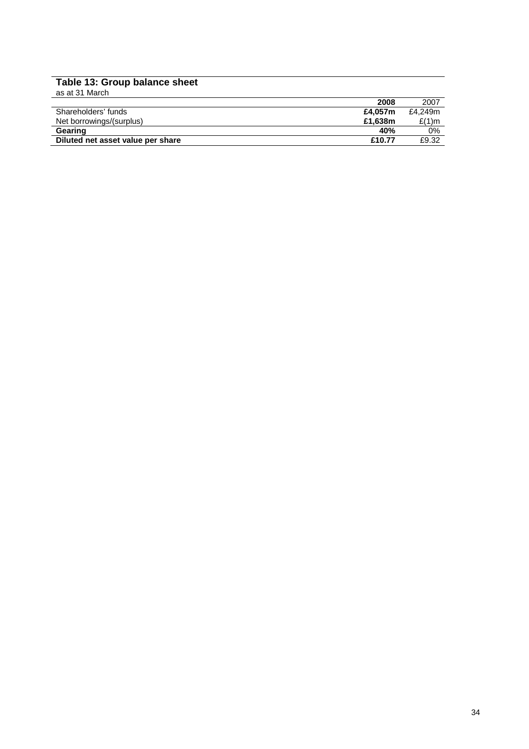#### **Table 13: Group balance sheet**

| as at 31 March                    |         |         |
|-----------------------------------|---------|---------|
|                                   | 2008    | 2007    |
| Shareholders' funds               | £4.057m | £4.249m |
| Net borrowings/(surplus)          | £1.638m | £(1)m   |
| Gearing                           | 40%     | 0%      |
| Diluted net asset value per share | £10.77  | £9.32   |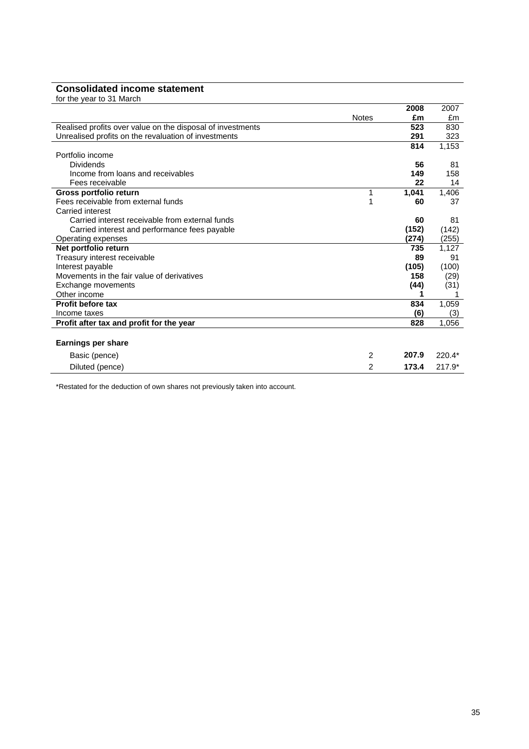# **Consolidated income statement**

|  |  | for the year to 31 March |
|--|--|--------------------------|
|  |  |                          |

|                                                            |              | 2008  | 2007     |
|------------------------------------------------------------|--------------|-------|----------|
|                                                            | <b>Notes</b> | £m    | £m       |
| Realised profits over value on the disposal of investments |              | 523   | 830      |
| Unrealised profits on the revaluation of investments       |              | 291   | 323      |
|                                                            |              | 814   | 1,153    |
| Portfolio income                                           |              |       |          |
| <b>Dividends</b>                                           |              | 56    | 81       |
| Income from loans and receivables                          |              | 149   | 158      |
| Fees receivable                                            |              | 22    | 14       |
| Gross portfolio return                                     | 1            | 1,041 | 1,406    |
| Fees receivable from external funds                        |              | 60    | 37       |
| Carried interest                                           |              |       |          |
| Carried interest receivable from external funds            |              | 60    | 81       |
| Carried interest and performance fees payable              |              | (152) | (142)    |
| Operating expenses                                         |              | (274) | (255)    |
| Net portfolio return                                       |              | 735   | 1.127    |
| Treasury interest receivable                               |              | 89    | 91       |
| Interest payable                                           |              | (105) | (100)    |
| Movements in the fair value of derivatives                 |              | 158   | (29)     |
| Exchange movements                                         |              | (44)  | (31)     |
| Other income                                               |              |       |          |
| <b>Profit before tax</b>                                   |              | 834   | 1,059    |
| Income taxes                                               |              | (6)   | (3)      |
| Profit after tax and profit for the year                   |              | 828   | 1,056    |
|                                                            |              |       |          |
| <b>Earnings per share</b>                                  |              |       |          |
| Basic (pence)                                              | 2            | 207.9 | 220.4*   |
| Diluted (pence)                                            | 2            | 173.4 | $217.9*$ |
|                                                            |              |       |          |

\*Restated for the deduction of own shares not previously taken into account.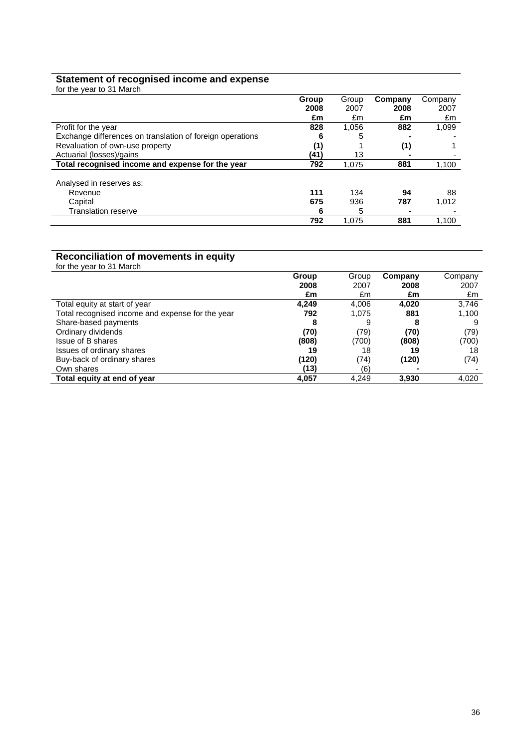#### **Statement of recognised income and expense**

| for the year to 31 March                                  |       |       |         |         |
|-----------------------------------------------------------|-------|-------|---------|---------|
|                                                           | Group | Group | Company | Company |
|                                                           | 2008  | 2007  | 2008    | 2007    |
|                                                           | £m    | £m    | £m      | £m      |
| Profit for the year                                       | 828   | 1,056 | 882     | 1,099   |
| Exchange differences on translation of foreign operations | 6     | 5     |         |         |
| Revaluation of own-use property                           | (1)   |       | (1)     |         |
| Actuarial (losses)/gains                                  | (41)  | 13    |         |         |
| Total recognised income and expense for the year          | 792   | 1.075 | 881     | 1,100   |
|                                                           |       |       |         |         |
| Analysed in reserves as:                                  |       |       |         |         |
| Revenue                                                   | 111   | 134   | 94      | 88      |
| Capital                                                   | 675   | 936   | 787     | 1.012   |
| <b>Translation reserve</b>                                |       | 5     |         |         |
|                                                           | 792   | 1.075 | 881     | 1.100   |

#### **Reconciliation of movements in equity**

| for the year to 31 March                         |       |       |         |         |
|--------------------------------------------------|-------|-------|---------|---------|
|                                                  | Group | Group | Company | Company |
|                                                  | 2008  | 2007  | 2008    | 2007    |
|                                                  | £m    | £m    | £m      | £m      |
| Total equity at start of year                    | 4.249 | 4,006 | 4,020   | 3,746   |
| Total recognised income and expense for the year | 792   | 1.075 | 881     | 1,100   |
| Share-based payments                             | 8     | 9     | 8       | 9       |
| Ordinary dividends                               | (70)  | (79)  | (70)    | (79)    |
| Issue of B shares                                | (808) | (700) | (808)   | (700)   |
| Issues of ordinary shares                        | 19    | 18    | 19      | 18      |
| Buy-back of ordinary shares                      | (120) | (74)  | (120)   | (74)    |
| Own shares                                       | (13)  | (6)   |         |         |
| Total equity at end of year                      | 4,057 | 4,249 | 3,930   | 4,020   |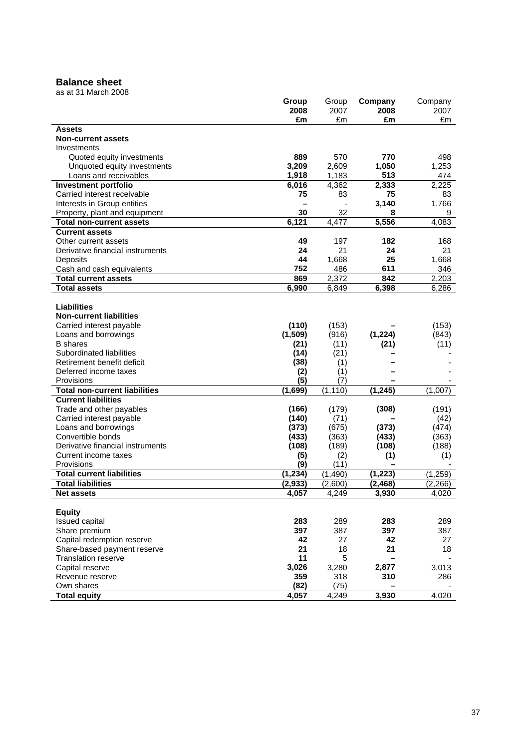#### **Balance sheet**

|                                      | Group<br>2008 | Group<br>2007 | Company<br>2008 | Company<br>2007 |
|--------------------------------------|---------------|---------------|-----------------|-----------------|
|                                      | £m            | £m            | £m              | £m              |
| <b>Assets</b>                        |               |               |                 |                 |
| <b>Non-current assets</b>            |               |               |                 |                 |
| Investments                          |               |               |                 |                 |
| Quoted equity investments            | 889           | 570           | 770             | 498             |
| Unquoted equity investments          | 3,209         | 2,609         | 1,050           | 1,253           |
| Loans and receivables                | 1,918         | 1,183         | 513             | 474             |
| <b>Investment portfolio</b>          | 6,016         | 4,362         | 2,333           | 2,225           |
| Carried interest receivable          | 75            | 83            | 75              | 83              |
| Interests in Group entities          |               |               | 3,140           | 1,766           |
| Property, plant and equipment        | 30            | 32            | 8               | 9               |
| <b>Total non-current assets</b>      | 6,121         | 4,477         | 5,556           | 4,083           |
| <b>Current assets</b>                |               |               |                 |                 |
| Other current assets                 | 49            | 197           | 182             | 168             |
| Derivative financial instruments     | 24            | 21            | 24              | 21              |
| Deposits                             | 44            | 1,668         | 25              | 1,668           |
| Cash and cash equivalents            | 752           | 486           | 611             | 346             |
| <b>Total current assets</b>          | 869           | 2,372         | 842             | 2,203           |
| <b>Total assets</b>                  | 6,990         | 6,849         | 6,398           | 6,286           |
|                                      |               |               |                 |                 |
| <b>Liabilities</b>                   |               |               |                 |                 |
| <b>Non-current liabilities</b>       |               |               |                 |                 |
| Carried interest payable             | (110)         | (153)         |                 | (153)           |
| Loans and borrowings                 | (1,509)       | (916)         | (1, 224)        | (843)           |
| <b>B</b> shares                      | (21)          | (11)          | (21)            | (11)            |
| Subordinated liabilities             | (14)          | (21)          |                 |                 |
| Retirement benefit deficit           | (38)          | (1)           |                 |                 |
| Deferred income taxes                | (2)           | (1)           |                 |                 |
| Provisions                           | (5)           | (7)           |                 |                 |
| <b>Total non-current liabilities</b> | (1,699)       | (1, 110)      | (1, 245)        | (1,007)         |
| <b>Current liabilities</b>           |               |               |                 |                 |
| Trade and other payables             | (166)         | (179)         | (308)           | (191)           |
| Carried interest payable             | (140)         | (71)          |                 | (42)            |
| Loans and borrowings                 | (373)         | (675)         | (373)           | (474)           |
| Convertible bonds                    | (433)         | (363)         | (433)           | (363)           |
| Derivative financial instruments     | (108)         | (189)         | (108)           | (188)           |
| Current income taxes<br>Provisions   | (5)<br>(9)    | (2)<br>(11)   | (1)             | (1)             |
| <b>Total current liabilities</b>     | (1, 234)      | (1, 490)      | (1, 223)        | (1, 259)        |
| <b>Total liabilities</b>             | (2, 933)      | (2,600)       | (2, 468)        | (2, 266)        |
|                                      | 4,057         | 4,249         | 3,930           | 4,020           |
| <b>Net assets</b>                    |               |               |                 |                 |
| <b>Equity</b>                        |               |               |                 |                 |
| Issued capital                       | 283           | 289           | 283             | 289             |
| Share premium                        | 397           | 387           | 397             | 387             |
| Capital redemption reserve           | 42            | 27            | 42              | 27              |
| Share-based payment reserve          | 21            | 18            | 21              | 18              |
| <b>Translation reserve</b>           | 11            | 5             |                 |                 |
| Capital reserve                      | 3,026         | 3,280         | 2,877           | 3,013           |
| Revenue reserve                      | 359           | 318           | 310             | 286             |
| Own shares                           | (82)          | (75)          |                 |                 |
| <b>Total equity</b>                  | 4,057         | 4,249         | 3,930           | 4,020           |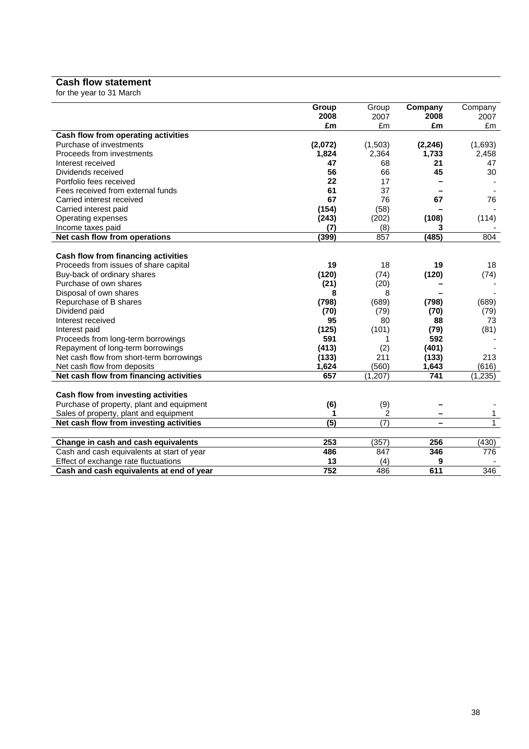#### **Cash flow statement**

for the year to 31 March

|                                            | Group   | Group            | Company  | Company      |
|--------------------------------------------|---------|------------------|----------|--------------|
|                                            | 2008    | 2007             | 2008     | 2007         |
|                                            | £m      | £m               | £m       | £m           |
| Cash flow from operating activities        |         |                  |          |              |
| Purchase of investments                    | (2,072) | (1,503)          | (2, 246) | (1,693)      |
| Proceeds from investments                  | 1,824   | 2,364            | 1,733    | 2,458        |
| Interest received                          | 47      | 68               | 21       | 47           |
| Dividends received                         | 56      | 66               | 45       | 30           |
| Portfolio fees received                    | 22      | 17               |          |              |
| Fees received from external funds          | 61      | 37               |          |              |
| Carried interest received                  | 67      | 76               | 67       | 76           |
| Carried interest paid                      | (154)   | (58)             |          |              |
| Operating expenses                         | (243)   | (202)            | (108)    | (114)        |
| Income taxes paid                          | (7)     | (8)              | 3        |              |
| Net cash flow from operations              | (399)   | 857              | (485)    | 804          |
|                                            |         |                  |          |              |
| Cash flow from financing activities        |         |                  |          |              |
| Proceeds from issues of share capital      | 19      | 18               | 19       | 18           |
| Buy-back of ordinary shares                | (120)   | (74)             | (120)    | (74)         |
| Purchase of own shares                     | (21)    | (20)             |          |              |
| Disposal of own shares                     | 8       | 8                |          |              |
| Repurchase of B shares                     | (798)   | (689)            | (798)    | (689)        |
| Dividend paid                              | (70)    | (79)             | (70)     | (79)         |
| Interest received                          | 95      | 80               | 88       | 73           |
| Interest paid                              | (125)   | (101)            | (79)     | (81)         |
| Proceeds from long-term borrowings         | 591     | 1                | 592      |              |
| Repayment of long-term borrowings          | (413)   | (2)              | (401)    |              |
| Net cash flow from short-term borrowings   | (133)   | 211              | (133)    | 213          |
| Net cash flow from deposits                | 1,624   | (560)            | 1,643    | (616)        |
| Net cash flow from financing activities    | 657     | (1, 207)         | 741      | (1, 235)     |
|                                            |         |                  |          |              |
| Cash flow from investing activities        |         |                  |          |              |
| Purchase of property, plant and equipment  | (6)     | (9)              |          |              |
| Sales of property, plant and equipment     | 1       | 2                |          | 1            |
| Net cash flow from investing activities    | (5)     | $\overline{(7)}$ | −        | $\mathbf{1}$ |
| Change in cash and cash equivalents        | 253     | (357)            | 256      | (430)        |
|                                            | 486     | 847              | 346      | 776          |
| Cash and cash equivalents at start of year | 13      |                  | 9        |              |
| Effect of exchange rate fluctuations       |         | (4)              |          |              |
| Cash and cash equivalents at end of year   | 752     | 486              | 611      | 346          |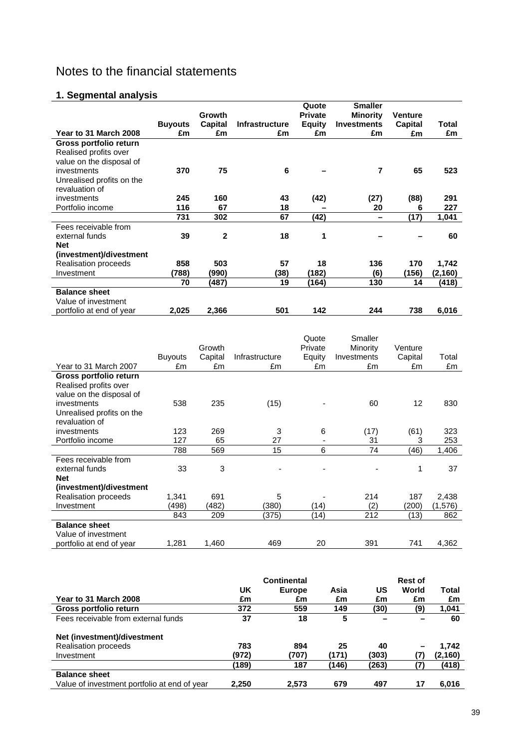# Notes to the financial statements

# **1. Segmental analysis**

|                           |                |              |                       | Quote          | <b>Smaller</b>     |                |          |
|---------------------------|----------------|--------------|-----------------------|----------------|--------------------|----------------|----------|
|                           |                | Growth       |                       | <b>Private</b> | <b>Minority</b>    | <b>Venture</b> |          |
|                           | <b>Buyouts</b> | Capital      | <b>Infrastructure</b> | <b>Equity</b>  | <b>Investments</b> | Capital        | Total    |
| Year to 31 March 2008     | £m             | £m           | £m                    | £m             | £m                 | £m             | £m       |
| Gross portfolio return    |                |              |                       |                |                    |                |          |
| Realised profits over     |                |              |                       |                |                    |                |          |
| value on the disposal of  |                |              |                       |                |                    |                |          |
| investments               | 370            | 75           | 6                     |                | 7                  | 65             | 523      |
| Unrealised profits on the |                |              |                       |                |                    |                |          |
| revaluation of            |                |              |                       |                |                    |                |          |
| investments               | 245            | 160          | 43                    | (42)           | (27)               | (88)           | 291      |
| Portfolio income          | 116            | 67           | 18                    |                | 20                 | 6              | 227      |
|                           | 731            | 302          | 67                    | (42)           |                    | (17)           | 1,041    |
| Fees receivable from      |                |              |                       |                |                    |                |          |
| external funds            | 39             | $\mathbf{2}$ | 18                    | 1              |                    |                | 60       |
| <b>Net</b>                |                |              |                       |                |                    |                |          |
| (investment)/divestment   |                |              |                       |                |                    |                |          |
| Realisation proceeds      | 858            | 503          | 57                    | 18             | 136                | 170            | 1,742    |
| Investment                | (788)          | (990)        | (38)                  | (182)          | (6)                | (156)          | (2, 160) |
|                           | 70             | (487)        | 19                    | (164)          | 130                | 14             | (418)    |
| <b>Balance sheet</b>      |                |              |                       |                |                    |                |          |
| Value of investment       |                |              |                       |                |                    |                |          |
| portfolio at end of year  | 2,025          | 2,366        | 501                   | 142            | 244                | 738            | 6,016    |

|                           |                |         |                | Quote   | Smaller     |         |         |
|---------------------------|----------------|---------|----------------|---------|-------------|---------|---------|
|                           |                | Growth  |                | Private | Minority    | Venture |         |
|                           | <b>Buyouts</b> | Capital | Infrastructure | Equity  | Investments | Capital | Total   |
| Year to 31 March 2007     | £m             | £m      | £m             | £m      | £m          | £m      | £m      |
| Gross portfolio return    |                |         |                |         |             |         |         |
| Realised profits over     |                |         |                |         |             |         |         |
| value on the disposal of  |                |         |                |         |             |         |         |
| investments               | 538            | 235     | (15)           |         | 60          | 12      | 830     |
| Unrealised profits on the |                |         |                |         |             |         |         |
| revaluation of            |                |         |                |         |             |         |         |
| investments               | 123            | 269     | 3              | 6       | (17)        | (61)    | 323     |
| Portfolio income          | 127            | 65      | 27             | ٠       | 31          | 3       | 253     |
|                           | 788            | 569     | 15             | 6       | 74          | (46)    | 1,406   |
| Fees receivable from      |                |         |                |         |             |         |         |
| external funds            | 33             | 3       |                |         |             | 1       | 37      |
| <b>Net</b>                |                |         |                |         |             |         |         |
| (investment)/divestment   |                |         |                |         |             |         |         |
| Realisation proceeds      | 1,341          | 691     | 5              |         | 214         | 187     | 2,438   |
| Investment                | (498)          | (482)   | (380)          | (14)    | (2)         | (200)   | (1,576) |
|                           | 843            | 209     | (375)          | (14)    | 212         | (13)    | 862     |
| <b>Balance sheet</b>      |                |         |                |         |             |         |         |
| Value of investment       |                |         |                |         |             |         |         |
| portfolio at end of year  | 1,281          | 1,460   | 469            | 20      | 391         | 741     | 4,362   |

|                                              |       | <b>Continental</b> |       |       | <b>Rest of</b> |         |
|----------------------------------------------|-------|--------------------|-------|-------|----------------|---------|
|                                              | UK    | Europe             | Asia  | US    | World          | Total   |
| Year to 31 March 2008                        | £m    | £m                 | £m    | £m    | £m             | £m      |
| Gross portfolio return                       | 372   | 559                | 149   | (30)  | (9)            | 1,041   |
| Fees receivable from external funds          | 37    | 18                 | 5     |       |                | 60      |
| Net (investment)/divestment                  |       |                    |       |       |                |         |
| <b>Realisation proceeds</b>                  | 783   | 894                | 25    | 40    |                | 1.742   |
| Investment                                   | (972) | (707)              | (171) | (303) |                | (2,160) |
|                                              | (189) | 187                | (146) | (263) | (7)            | (418)   |
| <b>Balance sheet</b>                         |       |                    |       |       |                |         |
| Value of investment portfolio at end of year | 2.250 | 2,573              | 679   | 497   | 17             | 6,016   |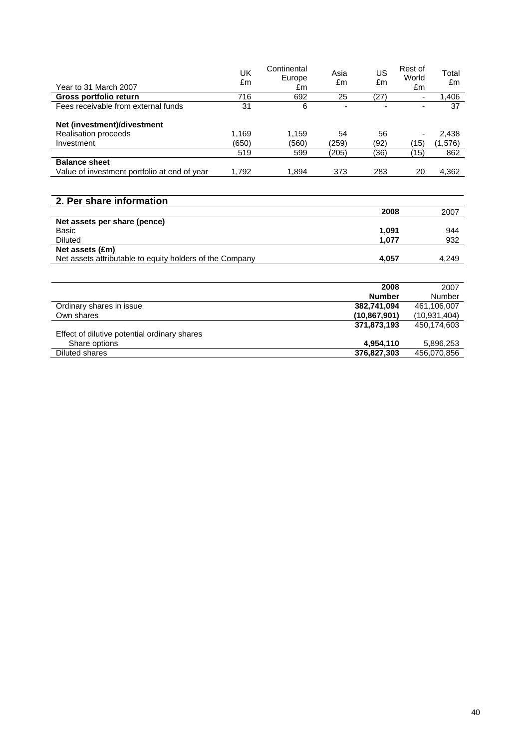|                                                          | UK    | Continental<br>Europe | Asia  | US            | Rest of<br>World | Total          |
|----------------------------------------------------------|-------|-----------------------|-------|---------------|------------------|----------------|
| Year to 31 March 2007                                    | £m    | £m                    | £m    | £m            | £m               | £m             |
| Gross portfolio return                                   | 716   | 692                   | 25    | (27)          |                  | 1,406          |
| Fees receivable from external funds                      | 31    | 6                     |       |               |                  | 37             |
|                                                          |       |                       |       |               |                  |                |
| Net (investment)/divestment                              |       |                       |       |               |                  |                |
| Realisation proceeds                                     | 1,169 | 1,159                 | 54    | 56            |                  | 2,438          |
| Investment                                               | (650) | (560)                 | (259) | (92)          | (15)             | (1,576)        |
|                                                          | 519   | 599                   | (205) | (36)          | (15)             | 862            |
| <b>Balance sheet</b>                                     |       |                       |       |               |                  |                |
| Value of investment portfolio at end of year             | 1,792 | 1,894                 | 373   | 283           | 20               | 4,362          |
|                                                          |       |                       |       |               |                  |                |
|                                                          |       |                       |       |               |                  |                |
| 2. Per share information                                 |       |                       |       |               |                  |                |
|                                                          |       |                       |       | 2008          |                  | 2007           |
| Net assets per share (pence)                             |       |                       |       |               |                  |                |
| Basic                                                    |       |                       |       | 1,091         |                  | 944            |
| <b>Diluted</b>                                           |       |                       |       | 1,077         |                  | 932            |
| Net assets (£m)                                          |       |                       |       |               |                  |                |
| Net assets attributable to equity holders of the Company |       |                       |       | 4,057         |                  | 4,249          |
|                                                          |       |                       |       |               |                  |                |
|                                                          |       |                       |       |               |                  |                |
|                                                          |       |                       |       | 2008          |                  | 2007           |
|                                                          |       |                       |       | <b>Number</b> |                  | Number         |
| Ordinary shares in issue                                 |       |                       |       | 382,741,094   |                  | 461,106,007    |
| Own shares                                               |       |                       |       | (10,867,901)  |                  | (10, 931, 404) |
|                                                          |       |                       |       | 371,873,193   |                  | 450,174,603    |
| Effect of dilutive potential ordinary shares             |       |                       |       |               |                  |                |
| Share options                                            |       |                       |       | 4,954,110     |                  | 5,896,253      |
| <b>Diluted shares</b>                                    |       |                       |       | 376,827,303   |                  | 456,070,856    |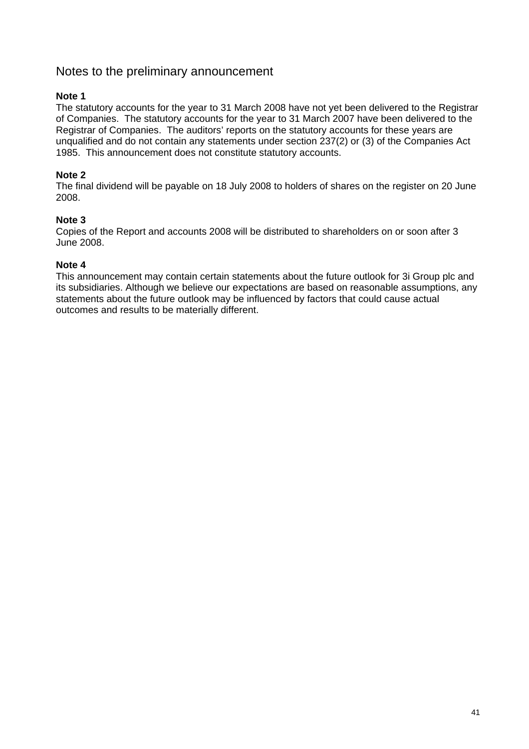# Notes to the preliminary announcement

#### **Note 1**

The statutory accounts for the year to 31 March 2008 have not yet been delivered to the Registrar of Companies. The statutory accounts for the year to 31 March 2007 have been delivered to the Registrar of Companies. The auditors' reports on the statutory accounts for these years are unqualified and do not contain any statements under section 237(2) or (3) of the Companies Act 1985. This announcement does not constitute statutory accounts.

#### **Note 2**

The final dividend will be payable on 18 July 2008 to holders of shares on the register on 20 June 2008.

#### **Note 3**

Copies of the Report and accounts 2008 will be distributed to shareholders on or soon after 3 June 2008.

#### **Note 4**

This announcement may contain certain statements about the future outlook for 3i Group plc and its subsidiaries. Although we believe our expectations are based on reasonable assumptions, any statements about the future outlook may be influenced by factors that could cause actual outcomes and results to be materially different.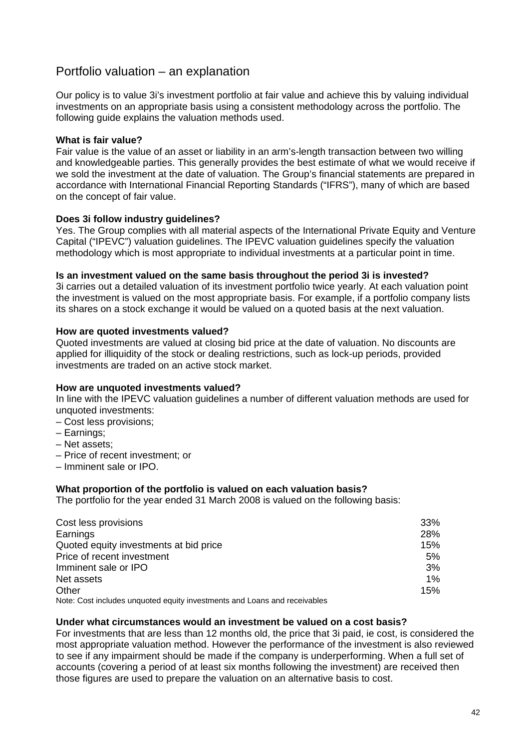# Portfolio valuation – an explanation

Our policy is to value 3i's investment portfolio at fair value and achieve this by valuing individual investments on an appropriate basis using a consistent methodology across the portfolio. The following guide explains the valuation methods used.

#### **What is fair value?**

Fair value is the value of an asset or liability in an arm's-length transaction between two willing and knowledgeable parties. This generally provides the best estimate of what we would receive if we sold the investment at the date of valuation. The Group's financial statements are prepared in accordance with International Financial Reporting Standards ("IFRS"), many of which are based on the concept of fair value.

#### **Does 3i follow industry guidelines?**

Yes. The Group complies with all material aspects of the International Private Equity and Venture Capital ("IPEVC") valuation guidelines. The IPEVC valuation guidelines specify the valuation methodology which is most appropriate to individual investments at a particular point in time.

#### **Is an investment valued on the same basis throughout the period 3i is invested?**

3i carries out a detailed valuation of its investment portfolio twice yearly. At each valuation point the investment is valued on the most appropriate basis. For example, if a portfolio company lists its shares on a stock exchange it would be valued on a quoted basis at the next valuation.

#### **How are quoted investments valued?**

Quoted investments are valued at closing bid price at the date of valuation. No discounts are applied for illiquidity of the stock or dealing restrictions, such as lock-up periods, provided investments are traded on an active stock market.

#### **How are unquoted investments valued?**

In line with the IPEVC valuation guidelines a number of different valuation methods are used for unquoted investments:

- Cost less provisions;
- Earnings;
- Net assets;
- Price of recent investment; or
- Imminent sale or IPO.

#### **What proportion of the portfolio is valued on each valuation basis?**

The portfolio for the year ended 31 March 2008 is valued on the following basis:

| Cost less provisions                                                     | 33% |
|--------------------------------------------------------------------------|-----|
| Earnings                                                                 | 28% |
| Quoted equity investments at bid price                                   | 15% |
| Price of recent investment                                               | 5%  |
| Imminent sale or IPO                                                     | 3%  |
| Net assets                                                               | 1%  |
| Other                                                                    | 15% |
| Note: Coet includes unquated equity investments and Leans and resolution |     |

Note: Cost includes unquoted equity investments and Loans and receivables

#### **Under what circumstances would an investment be valued on a cost basis?**

For investments that are less than 12 months old, the price that 3i paid, ie cost, is considered the most appropriate valuation method. However the performance of the investment is also reviewed to see if any impairment should be made if the company is underperforming. When a full set of accounts (covering a period of at least six months following the investment) are received then those figures are used to prepare the valuation on an alternative basis to cost.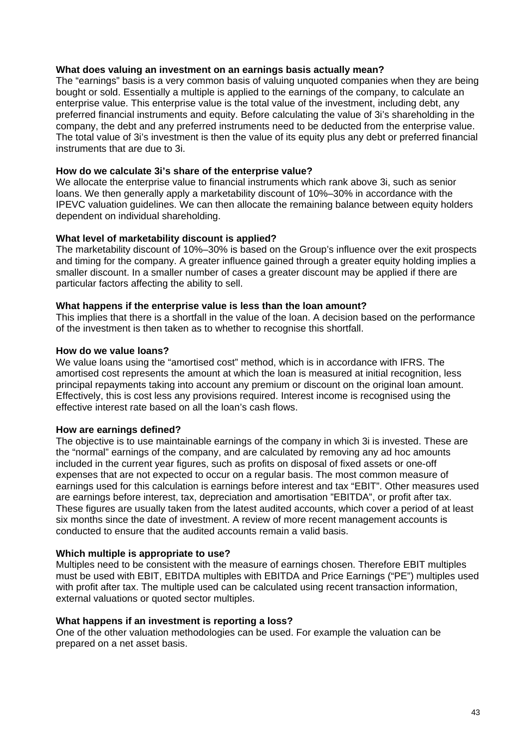#### **What does valuing an investment on an earnings basis actually mean?**

The "earnings" basis is a very common basis of valuing unquoted companies when they are being bought or sold. Essentially a multiple is applied to the earnings of the company, to calculate an enterprise value. This enterprise value is the total value of the investment, including debt, any preferred financial instruments and equity. Before calculating the value of 3i's shareholding in the company, the debt and any preferred instruments need to be deducted from the enterprise value. The total value of 3i's investment is then the value of its equity plus any debt or preferred financial instruments that are due to 3i.

#### **How do we calculate 3i's share of the enterprise value?**

We allocate the enterprise value to financial instruments which rank above 3i, such as senior loans. We then generally apply a marketability discount of 10%–30% in accordance with the IPEVC valuation guidelines. We can then allocate the remaining balance between equity holders dependent on individual shareholding.

#### **What level of marketability discount is applied?**

The marketability discount of 10%–30% is based on the Group's influence over the exit prospects and timing for the company. A greater influence gained through a greater equity holding implies a smaller discount. In a smaller number of cases a greater discount may be applied if there are particular factors affecting the ability to sell.

#### **What happens if the enterprise value is less than the loan amount?**

This implies that there is a shortfall in the value of the loan. A decision based on the performance of the investment is then taken as to whether to recognise this shortfall.

#### **How do we value loans?**

We value loans using the "amortised cost" method, which is in accordance with IFRS. The amortised cost represents the amount at which the loan is measured at initial recognition, less principal repayments taking into account any premium or discount on the original loan amount. Effectively, this is cost less any provisions required. Interest income is recognised using the effective interest rate based on all the loan's cash flows.

#### **How are earnings defined?**

The objective is to use maintainable earnings of the company in which 3i is invested. These are the "normal" earnings of the company, and are calculated by removing any ad hoc amounts included in the current year figures, such as profits on disposal of fixed assets or one-off expenses that are not expected to occur on a regular basis. The most common measure of earnings used for this calculation is earnings before interest and tax "EBIT". Other measures used are earnings before interest, tax, depreciation and amortisation "EBITDA", or profit after tax. These figures are usually taken from the latest audited accounts, which cover a period of at least six months since the date of investment. A review of more recent management accounts is conducted to ensure that the audited accounts remain a valid basis.

#### **Which multiple is appropriate to use?**

Multiples need to be consistent with the measure of earnings chosen. Therefore EBIT multiples must be used with EBIT, EBITDA multiples with EBITDA and Price Earnings ("PE") multiples used with profit after tax. The multiple used can be calculated using recent transaction information, external valuations or quoted sector multiples.

#### **What happens if an investment is reporting a loss?**

One of the other valuation methodologies can be used. For example the valuation can be prepared on a net asset basis.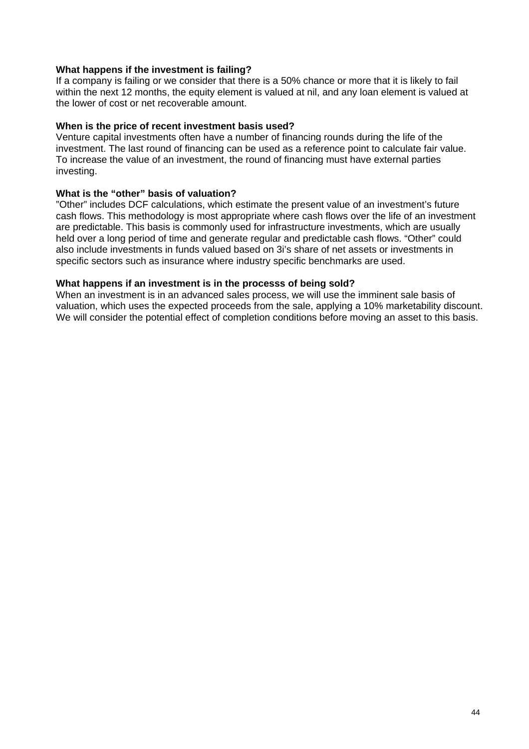#### **What happens if the investment is failing?**

If a company is failing or we consider that there is a 50% chance or more that it is likely to fail within the next 12 months, the equity element is valued at nil, and any loan element is valued at the lower of cost or net recoverable amount.

#### **When is the price of recent investment basis used?**

Venture capital investments often have a number of financing rounds during the life of the investment. The last round of financing can be used as a reference point to calculate fair value. To increase the value of an investment, the round of financing must have external parties investing.

#### **What is the "other" basis of valuation?**

"Other" includes DCF calculations, which estimate the present value of an investment's future cash flows. This methodology is most appropriate where cash flows over the life of an investment are predictable. This basis is commonly used for infrastructure investments, which are usually held over a long period of time and generate regular and predictable cash flows. "Other" could also include investments in funds valued based on 3i's share of net assets or investments in specific sectors such as insurance where industry specific benchmarks are used.

#### **What happens if an investment is in the processs of being sold?**

When an investment is in an advanced sales process, we will use the imminent sale basis of valuation, which uses the expected proceeds from the sale, applying a 10% marketability discount. We will consider the potential effect of completion conditions before moving an asset to this basis.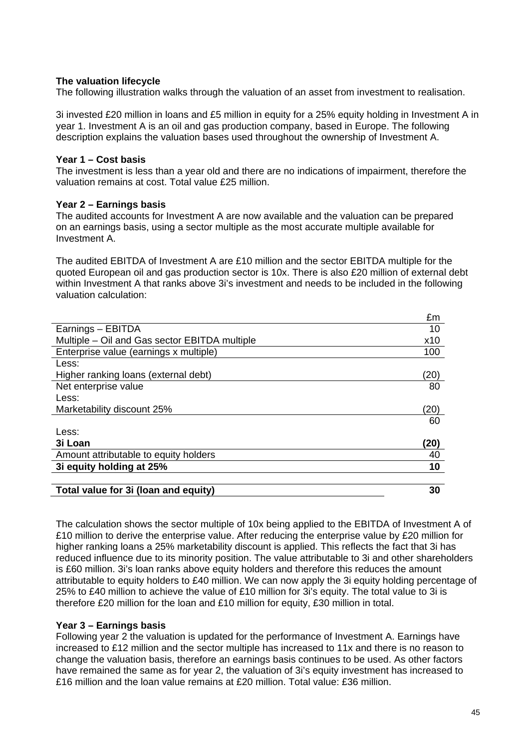#### **The valuation lifecycle**

The following illustration walks through the valuation of an asset from investment to realisation.

3i invested £20 million in loans and £5 million in equity for a 25% equity holding in Investment A in year 1. Investment A is an oil and gas production company, based in Europe. The following description explains the valuation bases used throughout the ownership of Investment A.

#### **Year 1 – Cost basis**

The investment is less than a year old and there are no indications of impairment, therefore the valuation remains at cost. Total value £25 million.

#### **Year 2 – Earnings basis**

The audited accounts for Investment A are now available and the valuation can be prepared on an earnings basis, using a sector multiple as the most accurate multiple available for Investment A.

The audited EBITDA of Investment A are £10 million and the sector EBITDA multiple for the quoted European oil and gas production sector is 10x. There is also £20 million of external debt within Investment A that ranks above 3i's investment and needs to be included in the following valuation calculation:

|                                               | £m   |
|-----------------------------------------------|------|
| Earnings - EBITDA                             | 10   |
| Multiple – Oil and Gas sector EBITDA multiple | x10  |
| Enterprise value (earnings x multiple)        | 100  |
| Less:                                         |      |
| Higher ranking loans (external debt)          | (20) |
| Net enterprise value                          | 80   |
| Less:                                         |      |
| Marketability discount 25%                    | (20) |
|                                               | 60   |
| Less:                                         |      |
| 3i Loan                                       | (20) |
| Amount attributable to equity holders         | 40   |
| 3i equity holding at 25%                      | 10   |
|                                               |      |
| Total value for 3i (loan and equity)          | 30   |

The calculation shows the sector multiple of 10x being applied to the EBITDA of Investment A of £10 million to derive the enterprise value. After reducing the enterprise value by £20 million for higher ranking loans a 25% marketability discount is applied. This reflects the fact that 3i has reduced influence due to its minority position. The value attributable to 3i and other shareholders is £60 million. 3i's loan ranks above equity holders and therefore this reduces the amount attributable to equity holders to £40 million. We can now apply the 3i equity holding percentage of 25% to £40 million to achieve the value of £10 million for 3i's equity. The total value to 3i is therefore £20 million for the loan and £10 million for equity, £30 million in total.

#### **Year 3 – Earnings basis**

Following year 2 the valuation is updated for the performance of Investment A. Earnings have increased to £12 million and the sector multiple has increased to 11x and there is no reason to change the valuation basis, therefore an earnings basis continues to be used. As other factors have remained the same as for year 2, the valuation of 3i's equity investment has increased to £16 million and the loan value remains at £20 million. Total value: £36 million.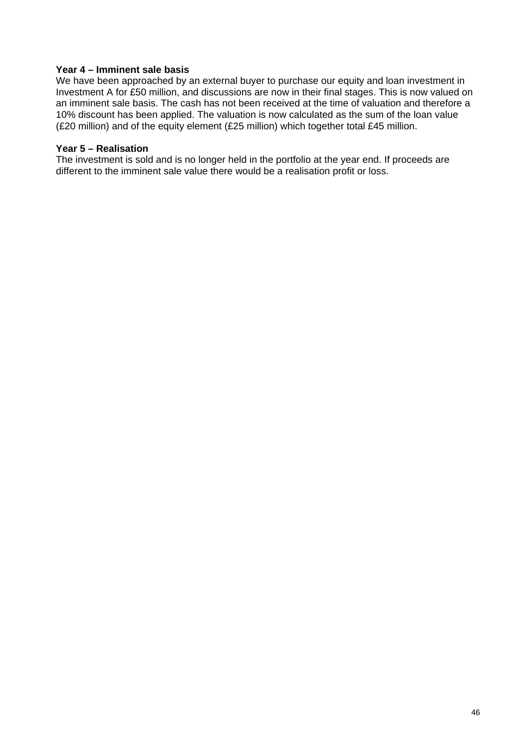#### **Year 4 – Imminent sale basis**

We have been approached by an external buyer to purchase our equity and loan investment in Investment A for £50 million, and discussions are now in their final stages. This is now valued on an imminent sale basis. The cash has not been received at the time of valuation and therefore a 10% discount has been applied. The valuation is now calculated as the sum of the loan value (£20 million) and of the equity element (£25 million) which together total £45 million.

#### **Year 5 – Realisation**

The investment is sold and is no longer held in the portfolio at the year end. If proceeds are different to the imminent sale value there would be a realisation profit or loss.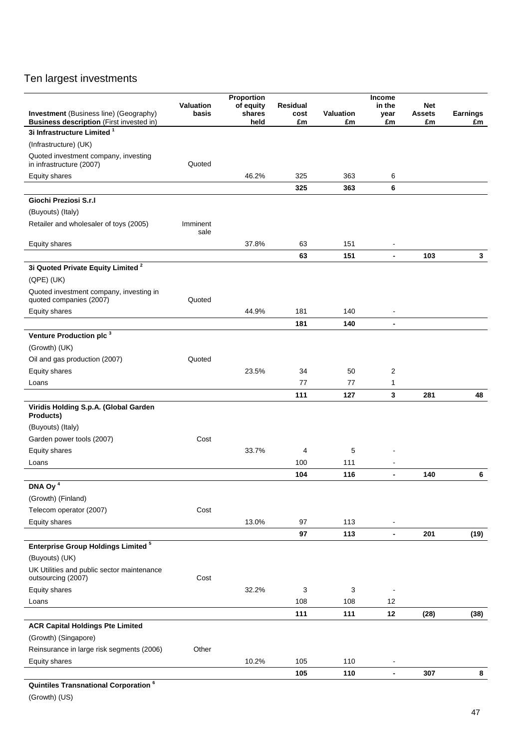# Ten largest investments

| <b>Investment</b> (Business line) (Geography)                                             | Valuation<br>basis | Proportion<br>of equity<br>shares | Residual<br>cost | Valuation | <b>Income</b><br>in the<br>year | <b>Net</b><br><b>Assets</b> | <b>Earnings</b> |
|-------------------------------------------------------------------------------------------|--------------------|-----------------------------------|------------------|-----------|---------------------------------|-----------------------------|-----------------|
| <b>Business description</b> (First invested in)<br>3i Infrastructure Limited <sup>1</sup> |                    | held                              | £m               | £m        | £m                              | £m                          | £m              |
| (Infrastructure) (UK)                                                                     |                    |                                   |                  |           |                                 |                             |                 |
| Quoted investment company, investing                                                      |                    |                                   |                  |           |                                 |                             |                 |
| in infrastructure (2007)                                                                  | Quoted             |                                   |                  |           |                                 |                             |                 |
| Equity shares                                                                             |                    | 46.2%                             | 325              | 363       | 6                               |                             |                 |
|                                                                                           |                    |                                   | 325              | 363       | 6                               |                             |                 |
| Giochi Preziosi S.r.I                                                                     |                    |                                   |                  |           |                                 |                             |                 |
| (Buyouts) (Italy)                                                                         |                    |                                   |                  |           |                                 |                             |                 |
| Retailer and wholesaler of toys (2005)                                                    | Imminent<br>sale   |                                   |                  |           |                                 |                             |                 |
| Equity shares                                                                             |                    | 37.8%                             | 63               | 151       | $\overline{\phantom{a}}$        |                             |                 |
|                                                                                           |                    |                                   | 63               | 151       | $\blacksquare$                  | 103                         | $\mathbf{3}$    |
| 3i Quoted Private Equity Limited <sup>2</sup>                                             |                    |                                   |                  |           |                                 |                             |                 |
| $(QPE)$ (UK)                                                                              |                    |                                   |                  |           |                                 |                             |                 |
| Quoted investment company, investing in<br>quoted companies (2007)                        | Quoted             |                                   |                  |           |                                 |                             |                 |
| Equity shares                                                                             |                    | 44.9%                             | 181              | 140       |                                 |                             |                 |
|                                                                                           |                    |                                   | 181              | 140       |                                 |                             |                 |
| Venture Production plc <sup>3</sup>                                                       |                    |                                   |                  |           |                                 |                             |                 |
| (Growth) (UK)                                                                             |                    |                                   |                  |           |                                 |                             |                 |
| Oil and gas production (2007)                                                             | Quoted             |                                   |                  |           |                                 |                             |                 |
| <b>Equity shares</b>                                                                      |                    | 23.5%                             | 34               | 50        | 2                               |                             |                 |
| Loans                                                                                     |                    |                                   | 77               | 77        | 1                               |                             |                 |
|                                                                                           |                    |                                   | 111              | 127       | 3                               | 281                         | 48              |
| Viridis Holding S.p.A. (Global Garden<br>Products)                                        |                    |                                   |                  |           |                                 |                             |                 |
| (Buyouts) (Italy)                                                                         |                    |                                   |                  |           |                                 |                             |                 |
| Garden power tools (2007)                                                                 | Cost               |                                   |                  |           |                                 |                             |                 |
| Equity shares                                                                             |                    | 33.7%                             | 4                | 5         |                                 |                             |                 |
| Loans                                                                                     |                    |                                   | 100              | 111       | $\blacksquare$                  |                             |                 |
|                                                                                           |                    |                                   | 104              | 116       | $\blacksquare$                  | 140                         | 6               |
| DNA Oy $\frac{4}{7}$                                                                      |                    |                                   |                  |           |                                 |                             |                 |
| (Growth) (Finland)                                                                        |                    |                                   |                  |           |                                 |                             |                 |
| Telecom operator (2007)                                                                   | Cost               |                                   |                  |           |                                 |                             |                 |
| Equity shares                                                                             |                    | 13.0%                             | 97               | 113       | $\overline{\phantom{a}}$        |                             |                 |
|                                                                                           |                    |                                   | 97               | 113       | $\overline{\phantom{a}}$        | 201                         | (19)            |
| <b>Enterprise Group Holdings Limited<sup>5</sup></b>                                      |                    |                                   |                  |           |                                 |                             |                 |
| (Buyouts) (UK)                                                                            |                    |                                   |                  |           |                                 |                             |                 |
| UK Utilities and public sector maintenance<br>outsourcing (2007)                          | Cost               |                                   |                  |           |                                 |                             |                 |
| Equity shares                                                                             |                    | 32.2%                             | 3                | 3         | $\blacksquare$                  |                             |                 |
| Loans                                                                                     |                    |                                   | 108              | 108       | 12                              |                             |                 |
|                                                                                           |                    |                                   | 111              | 111       | 12                              | (28)                        | (38)            |
| <b>ACR Capital Holdings Pte Limited</b>                                                   |                    |                                   |                  |           |                                 |                             |                 |
| (Growth) (Singapore)                                                                      |                    |                                   |                  |           |                                 |                             |                 |
| Reinsurance in large risk segments (2006)                                                 | Other              |                                   |                  |           |                                 |                             |                 |
| Equity shares                                                                             |                    | 10.2%                             | 105              | 110       | $\blacksquare$                  |                             |                 |
|                                                                                           |                    |                                   | 105              | 110       | $\blacksquare$                  | 307                         | 8               |
| Quintiles Transnational Corporation <sup>6</sup>                                          |                    |                                   |                  |           |                                 |                             |                 |

(Growth) (US)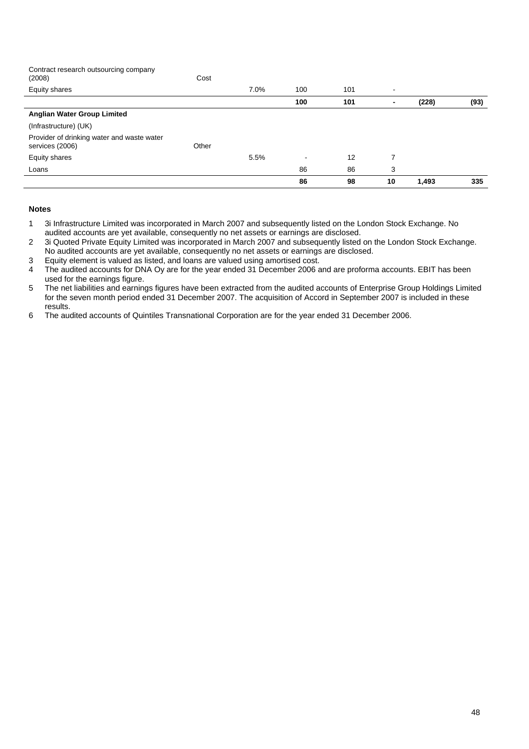Contract research outsourcing company

| (2008)                                                        | Cost  |      |     |     |                          |       |      |
|---------------------------------------------------------------|-------|------|-----|-----|--------------------------|-------|------|
| <b>Equity shares</b>                                          |       | 7.0% | 100 | 101 | $\overline{\phantom{a}}$ |       |      |
|                                                               |       |      | 100 | 101 | $\blacksquare$           | (228) | (93) |
| <b>Anglian Water Group Limited</b>                            |       |      |     |     |                          |       |      |
| (Infrastructure) (UK)                                         |       |      |     |     |                          |       |      |
| Provider of drinking water and waste water<br>services (2006) | Other |      |     |     |                          |       |      |
| <b>Equity shares</b>                                          |       | 5.5% | -   | 12  | 7                        |       |      |
| Loans                                                         |       |      | 86  | 86  | 3                        |       |      |
|                                                               |       |      | 86  | 98  | 10                       | 1,493 | 335  |

#### **Notes**

- 1 3i Infrastructure Limited was incorporated in March 2007 and subsequently listed on the London Stock Exchange. No audited accounts are yet available, consequently no net assets or earnings are disclosed.
- 2 3i Quoted Private Equity Limited was incorporated in March 2007 and subsequently listed on the London Stock Exchange. No audited accounts are yet available, consequently no net assets or earnings are disclosed.

3 Equity element is valued as listed, and loans are valued using amortised cost.

- 4 The audited accounts for DNA Oy are for the year ended 31 December 2006 and are proforma accounts. EBIT has been used for the earnings figure.
- 5 The net liabilities and earnings figures have been extracted from the audited accounts of Enterprise Group Holdings Limited for the seven month period ended 31 December 2007. The acquisition of Accord in September 2007 is included in these results.
- 6 The audited accounts of Quintiles Transnational Corporation are for the year ended 31 December 2006.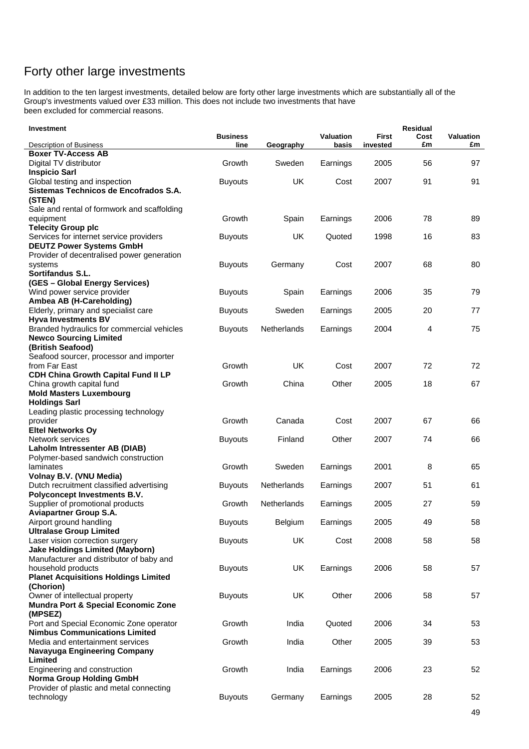# Forty other large investments

In addition to the ten largest investments, detailed below are forty other large investments which are substantially all of the Group's investments valued over £33 million. This does not include two investments that have been excluded for commercial reasons.

| Investment                                                            |                 |                    |                  |              | <b>Residual</b> |                  |
|-----------------------------------------------------------------------|-----------------|--------------------|------------------|--------------|-----------------|------------------|
|                                                                       | <b>Business</b> |                    | <b>Valuation</b> | <b>First</b> | Cost            | <b>Valuation</b> |
| Description of Business                                               | line            | Geography          | basis            | invested     | £m              | £m               |
| <b>Boxer TV-Access AB</b>                                             |                 |                    |                  |              |                 |                  |
| Digital TV distributor                                                | Growth          | Sweden             | Earnings         | 2005         | 56              | 97               |
| <b>Inspicio Sarl</b>                                                  |                 |                    |                  |              |                 |                  |
| Global testing and inspection                                         | <b>Buyouts</b>  | <b>UK</b>          | Cost             | 2007         | 91              | 91               |
| Sistemas Technicos de Encofrados S.A.                                 |                 |                    |                  |              |                 |                  |
| (STEN)                                                                |                 |                    |                  |              |                 |                  |
| Sale and rental of formwork and scaffolding                           | Growth          |                    |                  |              |                 |                  |
| equipment                                                             |                 | Spain              | Earnings         | 2006         | 78              | 89               |
| <b>Telecity Group plc</b>                                             |                 |                    |                  |              |                 |                  |
| Services for internet service providers                               | <b>Buyouts</b>  | UK                 | Quoted           | 1998         | 16              | 83               |
| <b>DEUTZ Power Systems GmbH</b>                                       |                 |                    |                  |              |                 |                  |
| Provider of decentralised power generation<br>systems                 | <b>Buyouts</b>  | Germany            | Cost             | 2007         | 68              | 80               |
| <b>Sortifandus S.L.</b>                                               |                 |                    |                  |              |                 |                  |
| (GES - Global Energy Services)                                        |                 |                    |                  |              |                 |                  |
| Wind power service provider                                           | <b>Buyouts</b>  | Spain              | Earnings         | 2006         | 35              | 79               |
| Ambea AB (H-Careholding)                                              |                 |                    |                  |              |                 |                  |
| Elderly, primary and specialist care                                  | <b>Buyouts</b>  | Sweden             | Earnings         | 2005         | 20              | 77               |
| <b>Hyva Investments BV</b>                                            |                 |                    |                  |              |                 |                  |
| Branded hydraulics for commercial vehicles                            | <b>Buyouts</b>  | <b>Netherlands</b> | Earnings         | 2004         | 4               | 75               |
| <b>Newco Sourcing Limited</b>                                         |                 |                    |                  |              |                 |                  |
| (British Seafood)                                                     |                 |                    |                  |              |                 |                  |
| Seafood sourcer, processor and importer                               |                 |                    |                  |              |                 |                  |
| from Far East                                                         | Growth          | <b>UK</b>          | Cost             | 2007         | 72              | 72               |
| CDH China Growth Capital Fund II LP                                   |                 |                    |                  |              |                 |                  |
| China growth capital fund                                             | Growth          | China              | Other            | 2005         | 18              | 67               |
| <b>Mold Masters Luxembourg</b>                                        |                 |                    |                  |              |                 |                  |
| <b>Holdings Sarl</b>                                                  |                 |                    |                  |              |                 |                  |
| Leading plastic processing technology                                 |                 |                    |                  |              |                 |                  |
| provider                                                              | Growth          | Canada             | Cost             | 2007         | 67              | 66               |
| <b>Eltel Networks Oy</b>                                              |                 |                    |                  |              |                 |                  |
| Network services                                                      | <b>Buyouts</b>  | Finland            | Other            | 2007         | 74              | 66               |
| Laholm Intressenter AB (DIAB)                                         |                 |                    |                  |              |                 |                  |
| Polymer-based sandwich construction                                   |                 |                    |                  |              |                 |                  |
| laminates                                                             | Growth          | Sweden             | Earnings         | 2001         | 8               | 65               |
| Volnay B.V. (VNU Media)                                               |                 |                    |                  |              |                 |                  |
| Dutch recruitment classified advertising                              | <b>Buyouts</b>  | Netherlands        | Earnings         | 2007         | 51              | 61               |
| <b>Polyconcept Investments B.V.</b>                                   |                 |                    |                  |              |                 |                  |
| Supplier of promotional products                                      | Growth          | Netherlands        | Earnings         | 2005         | 27              | 59               |
| <b>Aviapartner Group S.A.</b>                                         |                 |                    |                  |              |                 |                  |
| Airport ground handling                                               | <b>Buyouts</b>  | Belgium            | Earnings         | 2005         | 49              | 58               |
| <b>Ultralase Group Limited</b>                                        |                 |                    |                  |              |                 |                  |
| Laser vision correction surgery                                       | <b>Buyouts</b>  | UK                 | Cost             | 2008         | 58              | 58               |
| <b>Jake Holdings Limited (Mayborn)</b>                                |                 |                    |                  |              |                 |                  |
| Manufacturer and distributor of baby and                              |                 |                    |                  |              |                 |                  |
| household products                                                    | <b>Buyouts</b>  | UK                 | Earnings         | 2006         | 58              | 57               |
| <b>Planet Acquisitions Holdings Limited</b>                           |                 |                    |                  |              |                 |                  |
| (Chorion)                                                             |                 |                    |                  |              |                 |                  |
| Owner of intellectual property<br>Mundra Port & Special Economic Zone | <b>Buyouts</b>  | UK                 | Other            | 2006         | 58              | 57               |
| (MPSEZ)                                                               |                 |                    |                  |              |                 |                  |
| Port and Special Economic Zone operator                               | Growth          | India              | Quoted           | 2006         | 34              | 53               |
| <b>Nimbus Communications Limited</b>                                  |                 |                    |                  |              |                 |                  |
| Media and entertainment services                                      | Growth          | India              | Other            | 2005         | 39              | 53               |
| Navayuga Engineering Company                                          |                 |                    |                  |              |                 |                  |
| Limited                                                               |                 |                    |                  |              |                 |                  |
| Engineering and construction                                          | Growth          | India              | Earnings         | 2006         | 23              | 52               |
| <b>Norma Group Holding GmbH</b>                                       |                 |                    |                  |              |                 |                  |
| Provider of plastic and metal connecting                              |                 |                    |                  |              |                 |                  |
| technology                                                            | <b>Buyouts</b>  | Germany            | Earnings         | 2005         | 28              | 52               |
|                                                                       |                 |                    |                  |              |                 |                  |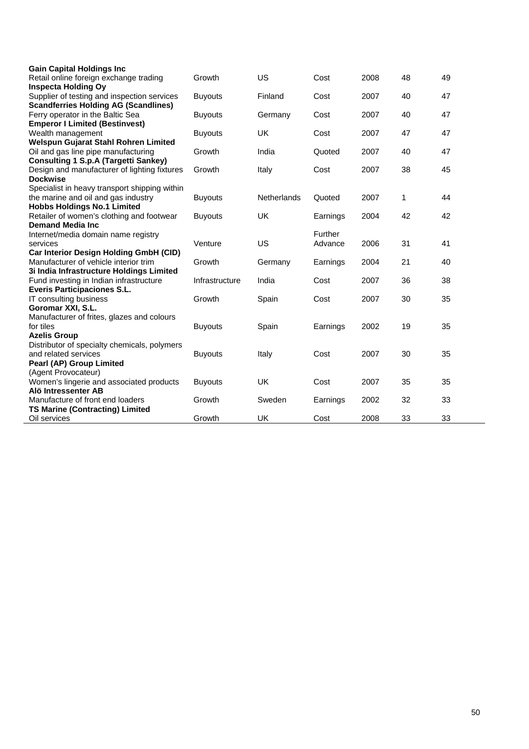| <b>Gain Capital Holdings Inc</b>              |                |                    |          |      |    |    |
|-----------------------------------------------|----------------|--------------------|----------|------|----|----|
| Retail online foreign exchange trading        | Growth         | US                 | Cost     | 2008 | 48 | 49 |
| <b>Inspecta Holding Oy</b>                    |                |                    |          |      |    |    |
| Supplier of testing and inspection services   | <b>Buyouts</b> | Finland            | Cost     | 2007 | 40 | 47 |
| <b>Scandferries Holding AG (Scandlines)</b>   |                |                    |          |      |    |    |
| Ferry operator in the Baltic Sea              | <b>Buyouts</b> | Germany            | Cost     | 2007 | 40 | 47 |
| <b>Emperor I Limited (Bestinvest)</b>         |                |                    |          |      |    |    |
| Wealth management                             | <b>Buyouts</b> | <b>UK</b>          | Cost     | 2007 | 47 | 47 |
| Welspun Gujarat Stahl Rohren Limited          |                |                    |          |      |    |    |
| Oil and gas line pipe manufacturing           | Growth         | India              | Quoted   | 2007 | 40 | 47 |
| <b>Consulting 1 S.p.A (Targetti Sankey)</b>   |                |                    |          |      |    |    |
| Design and manufacturer of lighting fixtures  | Growth         | Italy              | Cost     | 2007 | 38 | 45 |
| <b>Dockwise</b>                               |                |                    |          |      |    |    |
| Specialist in heavy transport shipping within |                |                    |          |      |    |    |
| the marine and oil and gas industry           | <b>Buyouts</b> | <b>Netherlands</b> | Quoted   | 2007 | 1  | 44 |
| <b>Hobbs Holdings No.1 Limited</b>            |                |                    |          |      |    |    |
| Retailer of women's clothing and footwear     | <b>Buyouts</b> | <b>UK</b>          | Earnings | 2004 | 42 | 42 |
| <b>Demand Media Inc.</b>                      |                |                    |          |      |    |    |
| Internet/media domain name registry           |                |                    | Further  |      |    |    |
| services                                      | Venture        | US                 | Advance  | 2006 | 31 | 41 |
| Car Interior Design Holding GmbH (CID)        |                |                    |          |      |    |    |
| Manufacturer of vehicle interior trim         | Growth         | Germany            | Earnings | 2004 | 21 | 40 |
| 3i India Infrastructure Holdings Limited      |                |                    |          |      |    |    |
| Fund investing in Indian infrastructure       | Infrastructure | India              | Cost     | 2007 | 36 | 38 |
| <b>Everis Participaciones S.L.</b>            |                |                    |          |      |    |    |
| IT consulting business                        | Growth         | Spain              | Cost     | 2007 | 30 | 35 |
| Goromar XXI, S.L.                             |                |                    |          |      |    |    |
| Manufacturer of frites, glazes and colours    |                |                    |          |      |    |    |
| for tiles                                     | <b>Buyouts</b> | Spain              | Earnings | 2002 | 19 | 35 |
| <b>Azelis Group</b>                           |                |                    |          |      |    |    |
| Distributor of specialty chemicals, polymers  |                |                    |          |      |    |    |
| and related services                          | <b>Buyouts</b> | Italy              | Cost     | 2007 | 30 | 35 |
| Pearl (AP) Group Limited                      |                |                    |          |      |    |    |
| (Agent Provocateur)                           |                |                    |          |      |    |    |
| Women's lingerie and associated products      | <b>Buyouts</b> | <b>UK</b>          | Cost     | 2007 | 35 | 35 |
| Alö Intressenter AB                           |                |                    |          |      |    |    |
| Manufacture of front end loaders              | Growth         | Sweden             | Earnings | 2002 | 32 | 33 |
| <b>TS Marine (Contracting) Limited</b>        |                |                    |          |      |    |    |
| Oil services                                  | Growth         | UK                 | Cost     | 2008 | 33 | 33 |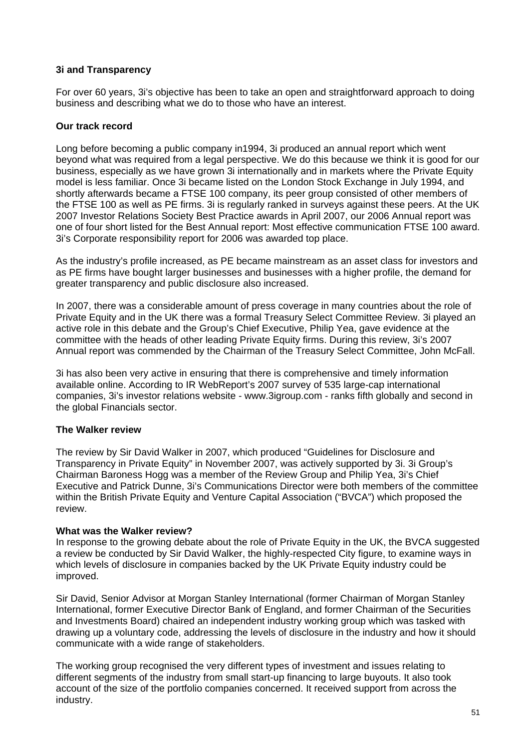#### **3i and Transparency**

For over 60 years, 3i's objective has been to take an open and straightforward approach to doing business and describing what we do to those who have an interest.

#### **Our track record**

Long before becoming a public company in1994, 3i produced an annual report which went beyond what was required from a legal perspective. We do this because we think it is good for our business, especially as we have grown 3i internationally and in markets where the Private Equity model is less familiar. Once 3i became listed on the London Stock Exchange in July 1994, and shortly afterwards became a FTSE 100 company, its peer group consisted of other members of the FTSE 100 as well as PE firms. 3i is regularly ranked in surveys against these peers. At the UK 2007 Investor Relations Society Best Practice awards in April 2007, our 2006 Annual report was one of four short listed for the Best Annual report: Most effective communication FTSE 100 award. 3i's Corporate responsibility report for 2006 was awarded top place.

As the industry's profile increased, as PE became mainstream as an asset class for investors and as PE firms have bought larger businesses and businesses with a higher profile, the demand for greater transparency and public disclosure also increased.

In 2007, there was a considerable amount of press coverage in many countries about the role of Private Equity and in the UK there was a formal Treasury Select Committee Review. 3i played an active role in this debate and the Group's Chief Executive, Philip Yea, gave evidence at the committee with the heads of other leading Private Equity firms. During this review, 3i's 2007 Annual report was commended by the Chairman of the Treasury Select Committee, John McFall.

3i has also been very active in ensuring that there is comprehensive and timely information available online. According to IR WebReport's 2007 survey of 535 large-cap international companies, 3i's investor relations website - www.3igroup.com - ranks fifth globally and second in the global Financials sector.

#### **The Walker review**

The review by Sir David Walker in 2007, which produced "Guidelines for Disclosure and Transparency in Private Equity" in November 2007, was actively supported by 3i. 3i Group's Chairman Baroness Hogg was a member of the Review Group and Philip Yea, 3i's Chief Executive and Patrick Dunne, 3i's Communications Director were both members of the committee within the British Private Equity and Venture Capital Association ("BVCA") which proposed the review.

#### **What was the Walker review?**

In response to the growing debate about the role of Private Equity in the UK, the BVCA suggested a review be conducted by Sir David Walker, the highly-respected City figure, to examine ways in which levels of disclosure in companies backed by the UK Private Equity industry could be improved.

Sir David, Senior Advisor at Morgan Stanley International (former Chairman of Morgan Stanley International, former Executive Director Bank of England, and former Chairman of the Securities and Investments Board) chaired an independent industry working group which was tasked with drawing up a voluntary code, addressing the levels of disclosure in the industry and how it should communicate with a wide range of stakeholders.

The working group recognised the very different types of investment and issues relating to different segments of the industry from small start-up financing to large buyouts. It also took account of the size of the portfolio companies concerned. It received support from across the industry.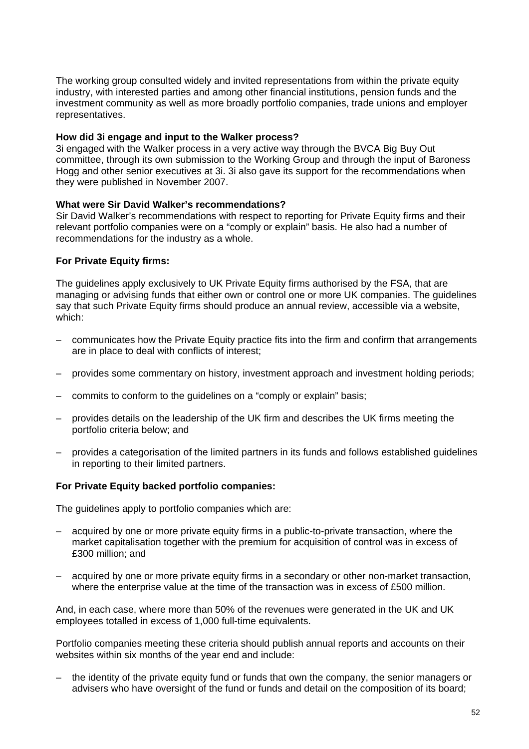The working group consulted widely and invited representations from within the private equity industry, with interested parties and among other financial institutions, pension funds and the investment community as well as more broadly portfolio companies, trade unions and employer representatives.

#### **How did 3i engage and input to the Walker process?**

3i engaged with the Walker process in a very active way through the BVCA Big Buy Out committee, through its own submission to the Working Group and through the input of Baroness Hogg and other senior executives at 3i. 3i also gave its support for the recommendations when they were published in November 2007.

#### **What were Sir David Walker's recommendations?**

Sir David Walker's recommendations with respect to reporting for Private Equity firms and their relevant portfolio companies were on a "comply or explain" basis. He also had a number of recommendations for the industry as a whole.

#### **For Private Equity firms:**

The guidelines apply exclusively to UK Private Equity firms authorised by the FSA, that are managing or advising funds that either own or control one or more UK companies. The guidelines say that such Private Equity firms should produce an annual review, accessible via a website, which:

- communicates how the Private Equity practice fits into the firm and confirm that arrangements are in place to deal with conflicts of interest;
- provides some commentary on history, investment approach and investment holding periods;
- commits to conform to the guidelines on a "comply or explain" basis;
- provides details on the leadership of the UK firm and describes the UK firms meeting the portfolio criteria below; and
- provides a categorisation of the limited partners in its funds and follows established guidelines in reporting to their limited partners.

#### **For Private Equity backed portfolio companies:**

The guidelines apply to portfolio companies which are:

- acquired by one or more private equity firms in a public-to-private transaction, where the market capitalisation together with the premium for acquisition of control was in excess of £300 million; and
- acquired by one or more private equity firms in a secondary or other non-market transaction, where the enterprise value at the time of the transaction was in excess of £500 million.

And, in each case, where more than 50% of the revenues were generated in the UK and UK employees totalled in excess of 1,000 full-time equivalents.

Portfolio companies meeting these criteria should publish annual reports and accounts on their websites within six months of the year end and include:

– the identity of the private equity fund or funds that own the company, the senior managers or advisers who have oversight of the fund or funds and detail on the composition of its board;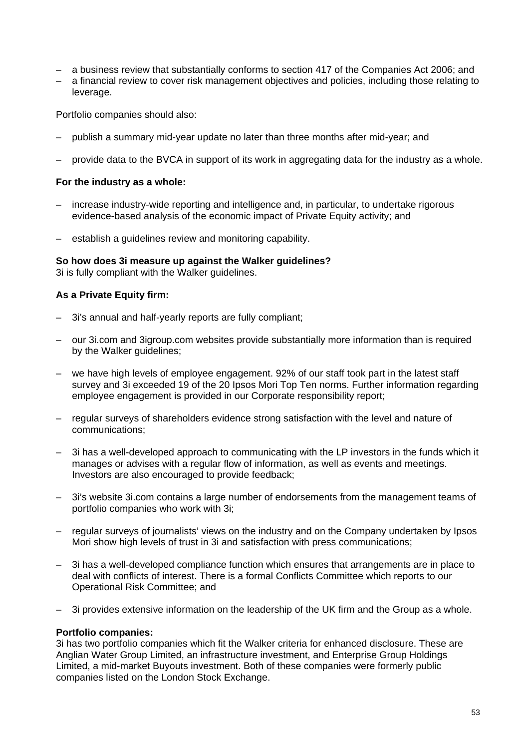- a business review that substantially conforms to section 417 of the Companies Act 2006; and
- a financial review to cover risk management objectives and policies, including those relating to leverage.

Portfolio companies should also:

- publish a summary mid-year update no later than three months after mid-year; and
- provide data to the BVCA in support of its work in aggregating data for the industry as a whole.

#### **For the industry as a whole:**

- increase industry-wide reporting and intelligence and, in particular, to undertake rigorous evidence-based analysis of the economic impact of Private Equity activity; and
- establish a guidelines review and monitoring capability.

#### **So how does 3i measure up against the Walker guidelines?**

3i is fully compliant with the Walker guidelines.

#### **As a Private Equity firm:**

- 3i's annual and half-yearly reports are fully compliant;
- our 3i.com and 3igroup.com websites provide substantially more information than is required by the Walker guidelines;
- we have high levels of employee engagement. 92% of our staff took part in the latest staff survey and 3i exceeded 19 of the 20 Ipsos Mori Top Ten norms. Further information regarding employee engagement is provided in our Corporate responsibility report;
- regular surveys of shareholders evidence strong satisfaction with the level and nature of communications;
- 3i has a well-developed approach to communicating with the LP investors in the funds which it manages or advises with a regular flow of information, as well as events and meetings. Investors are also encouraged to provide feedback;
- 3i's website 3i.com contains a large number of endorsements from the management teams of portfolio companies who work with 3i;
- regular surveys of journalists' views on the industry and on the Company undertaken by Ipsos Mori show high levels of trust in 3i and satisfaction with press communications;
- 3i has a well-developed compliance function which ensures that arrangements are in place to deal with conflicts of interest. There is a formal Conflicts Committee which reports to our Operational Risk Committee; and
- 3i provides extensive information on the leadership of the UK firm and the Group as a whole.

#### **Portfolio companies:**

3i has two portfolio companies which fit the Walker criteria for enhanced disclosure. These are Anglian Water Group Limited, an infrastructure investment, and Enterprise Group Holdings Limited, a mid-market Buyouts investment. Both of these companies were formerly public companies listed on the London Stock Exchange.